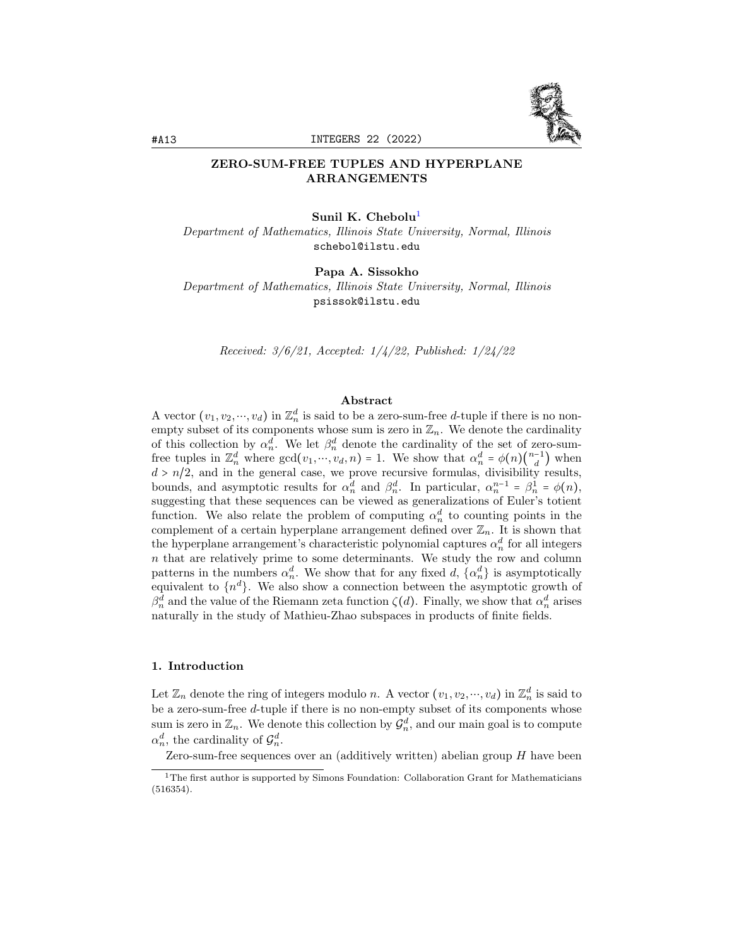

## ZERO-SUM-FREE TUPLES AND HYPERPLANE ARRANGEMENTS

### Sunil K. Chebolu<sup>[1](#page-0-0)</sup>

Department of Mathematics, Illinois State University, Normal, Illinois schebol@ilstu.edu

## Papa A. Sissokho

Department of Mathematics, Illinois State University, Normal, Illinois psissok@ilstu.edu

Received: 3/6/21, Accepted: 1/4/22, Published: 1/24/22

### Abstract

A vector  $(v_1, v_2, \dots, v_d)$  in  $\mathbb{Z}_n^d$  is said to be a zero-sum-free d-tuple if there is no nonempty subset of its components whose sum is zero in  $\mathbb{Z}_n$ . We denote the cardinality of this collection by  $\alpha_n^d$ . We let  $\beta_n^d$  denote the cardinality of the set of zero-sumfree tuples in  $\mathbb{Z}_n^d$  where  $gcd(v_1, ..., v_d, n) = 1$ . We show that  $\alpha_n^d = \phi(n) \binom{n-1}{d}$  $\binom{-1}{d}$  when  $d > n/2$ , and in the general case, we prove recursive formulas, divisibility results, bounds, and asymptotic results for  $\alpha_n^d$  and  $\beta_n^d$ . In particular,  $\alpha_n^{n-1} = \beta_n^1 = \phi(n)$ , suggesting that these sequences can be viewed as generalizations of Euler's totient function. We also relate the problem of computing  $\alpha_n^d$  to counting points in the complement of a certain hyperplane arrangement defined over  $\mathbb{Z}_n$ . It is shown that the hyperplane arrangement's characteristic polynomial captures  $\alpha_n^d$  for all integers  $n$  that are relatively prime to some determinants. We study the row and column patterns in the numbers  $\alpha_n^d$ . We show that for any fixed d,  $\{\alpha_n^d\}$  is asymptotically equivalent to  $\{n^d\}$ . We also show a connection between the asymptotic growth of  $\beta_n^d$  and the value of the Riemann zeta function  $\zeta(d)$ . Finally, we show that  $\alpha_n^d$  arises naturally in the study of Mathieu-Zhao subspaces in products of finite fields.

### <span id="page-0-1"></span>1. Introduction

Let  $\mathbb{Z}_n$  denote the ring of integers modulo n. A vector  $(v_1, v_2, \dots, v_d)$  in  $\mathbb{Z}_n^d$  is said to be a zero-sum-free d-tuple if there is no non-empty subset of its components whose sum is zero in  $\mathbb{Z}_n$ . We denote this collection by  $\mathcal{G}_n^d$ , and our main goal is to compute  $\alpha_n^d$ , the cardinality of  $\mathcal{G}_n^d$ .

Zero-sum-free sequences over an (additively written) abelian group  $H$  have been

<span id="page-0-0"></span> $^{\rm 1}{\rm The}$  first author is supported by Simons Foundation: Collaboration Grant for Mathematicians (516354).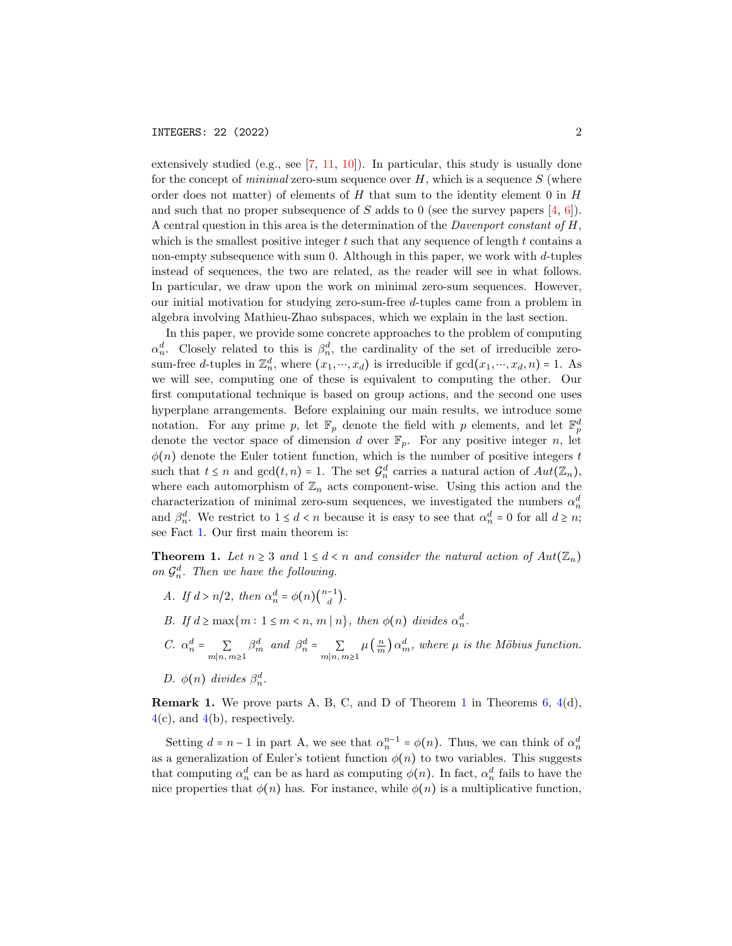extensively studied (e.g., see  $[7, 11, 10]$  $[7, 11, 10]$  $[7, 11, 10]$  $[7, 11, 10]$  $[7, 11, 10]$ ). In particular, this study is usually done for the concept of *minimal* zero-sum sequence over  $H$ , which is a sequence  $S$  (where order does not matter) of elements of  $H$  that sum to the identity element 0 in  $H$ and such that no proper subsequence of S adds to 0 (see the survey papers  $[4, 6]$  $[4, 6]$  $[4, 6]$ ). A central question in this area is the determination of the *Davenport constant of H*, which is the smallest positive integer  $t$  such that any sequence of length  $t$  contains a non-empty subsequence with sum 0. Although in this paper, we work with  $d$ -tuples instead of sequences, the two are related, as the reader will see in what follows. In particular, we draw upon the work on minimal zero-sum sequences. However, our initial motivation for studying zero-sum-free d-tuples came from a problem in algebra involving Mathieu-Zhao subspaces, which we explain in the last section.

In this paper, we provide some concrete approaches to the problem of computing  $\alpha_n^d$ . Closely related to this is  $\beta_n^d$ , the cardinality of the set of irreducible zerosum-free d-tuples in  $\mathbb{Z}_n^d$ , where  $(x_1, ..., x_d)$  is irreducible if  $gcd(x_1, ..., x_d, n) = 1$ . As we will see, computing one of these is equivalent to computing the other. Our first computational technique is based on group actions, and the second one uses hyperplane arrangements. Before explaining our main results, we introduce some notation. For any prime p, let  $\mathbb{F}_p$  denote the field with p elements, and let  $\mathbb{F}_p^d$ denote the vector space of dimension d over  $\mathbb{F}_p$ . For any positive integer n, let  $\phi(n)$  denote the Euler totient function, which is the number of positive integers t such that  $t \leq n$  and  $gcd(t, n) = 1$ . The set  $\mathcal{G}_n^d$  carries a natural action of  $Aut(\mathbb{Z}_n)$ , where each automorphism of  $\mathbb{Z}_n$  acts component-wise. Using this action and the characterization of minimal zero-sum sequences, we investigated the numbers  $\alpha_n^d$ and  $\beta_n^d$ . We restrict to  $1 \leq d < n$  because it is easy to see that  $\alpha_n^d = 0$  for all  $d \geq n$ ; see Fact [1.](#page-3-0) Our first main theorem is:

<span id="page-1-0"></span>**Theorem 1.** Let  $n \geq 3$  and  $1 \leq d < n$  and consider the natural action of  $Aut(\mathbb{Z}_n)$ on  $\mathcal{G}_n^d$ . Then we have the following.

- A. If  $d > n/2$ , then  $\alpha_n^d = \phi(n) \binom{n-1}{d}$  $\begin{matrix} -1 \\ d \end{matrix}$ ).
- B. If  $d \ge \max\{m : 1 \le m < n, m \mid n\}$ , then  $\phi(n)$  divides  $\alpha_n^d$ .
- C.  $\alpha_n^d = \sum_{n=1}^{\infty}$  $m|n,m\succeq1$  $\beta_m^d$  and  $\beta_n^d = \sum$  $m|n,m\succeq1$  $\mu\left(\frac{n}{m}\right)\alpha_m^d$ , where  $\mu$  is the Möbius function.
- D.  $\phi(n)$  divides  $\beta_n^d$ .

**Remark [1](#page-1-0).** We prove parts A, B, C, and D of Theorem 1 in Theorems [6,](#page-8-0)  $4(d)$  $4(d)$ ,  $4(c)$  $4(c)$ , and  $4(b)$ , respectively.

Setting  $d = n - 1$  in part A, we see that  $\alpha_n^{n-1} = \phi(n)$ . Thus, we can think of  $\alpha_n^d$ as a generalization of Euler's totient function  $\phi(n)$  to two variables. This suggests that computing  $\alpha_n^d$  can be as hard as computing  $\phi(n)$ . In fact,  $\alpha_n^d$  fails to have the nice properties that  $\phi(n)$  has. For instance, while  $\phi(n)$  is a multiplicative function,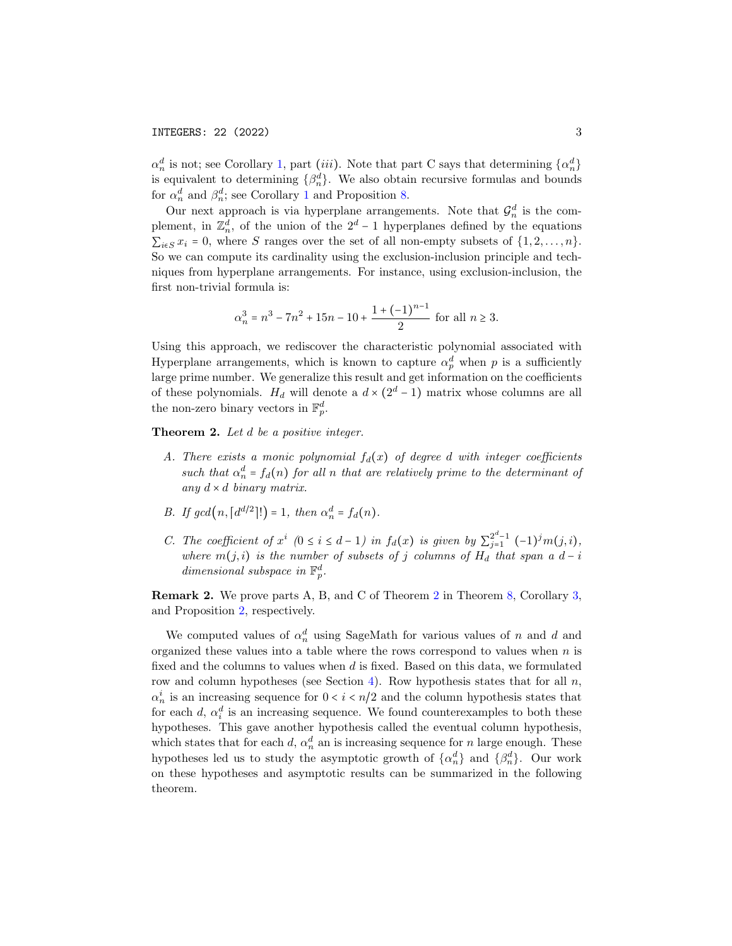$\alpha_n^d$  is not; see Corollary [1,](#page-6-0) part *(iii)*. Note that part C says that determining  $\{\alpha_n^d\}$ is equivalent to determining  $\{\beta_n^d\}$ . We also obtain recursive formulas and bounds for  $\alpha_n^d$  and  $\beta_n^d$ ; see Corollary [1](#page-6-0) and Proposition [8.](#page-16-0)

Our next approach is via hyperplane arrangements. Note that  $\mathcal{G}_n^d$  is the complement, in  $\mathbb{Z}_n^d$ , of the union of the 2<sup>d</sup> - 1 hyperplanes defined by the equations  $\sum_{i\in S} x_i = 0$ , where S ranges over the set of all non-empty subsets of  $\{1, 2, \ldots, n\}$ . So we can compute its cardinality using the exclusion-inclusion principle and techniques from hyperplane arrangements. For instance, using exclusion-inclusion, the first non-trivial formula is:

$$
\alpha_n^3 = n^3 - 7n^2 + 15n - 10 + \frac{1 + (-1)^{n-1}}{2} \text{ for all } n \ge 3.
$$

Using this approach, we rediscover the characteristic polynomial associated with Hyperplane arrangements, which is known to capture  $\alpha_p^d$  when p is a sufficiently large prime number. We generalize this result and get information on the coefficients of these polynomials.  $H_d$  will denote a  $d \times (2^d - 1)$  matrix whose columns are all the non-zero binary vectors in  $\mathbb{F}_p^d$ .

<span id="page-2-0"></span>Theorem 2. Let d be a positive integer.

- A. There exists a monic polynomial  $f_d(x)$  of degree d with integer coefficients such that  $\alpha_n^d = f_d(n)$  for all n that are relatively prime to the determinant of any  $d \times d$  binary matrix.
- B. If  $gcd(n, \lceil d^{d/2} \rceil!) = 1$ , then  $\alpha_n^d = f_d(n)$ .
- C. The coefficient of  $x^i$  (0  $\leq i \leq d-1$ ) in  $f_d(x)$  is given by  $\sum_{j=1}^{2^d-1}$  $\int_{j=1}^{2^a-1} (-1)^j m(j,i)$ , where  $m(j, i)$  is the number of subsets of j columns of  $H_d$  that span a  $d - i$ dimensional subspace in  $\mathbb{F}_p^d$ .

Remark 2. We prove parts A, B, and C of Theorem [2](#page-2-0) in Theorem [8,](#page-13-0) Corollary [3,](#page-13-1) and Proposition [2,](#page-12-0) respectively.

We computed values of  $\alpha_n^d$  using SageMath for various values of n and d and organized these values into a table where the rows correspond to values when  $n$  is fixed and the columns to values when  $d$  is fixed. Based on this data, we formulated row and column hypotheses (see Section [4\)](#page-13-2). Row hypothesis states that for all  $n$ ,  $\alpha_n^i$  is an increasing sequence for  $0 < i < n/2$  and the column hypothesis states that for each  $d, \alpha_i^d$  is an increasing sequence. We found counterexamples to both these hypotheses. This gave another hypothesis called the eventual column hypothesis, which states that for each d,  $\alpha_n^d$  an is increasing sequence for n large enough. These hypotheses led us to study the asymptotic growth of  $\{\alpha_n^d\}$  and  $\{\beta_n^d\}$ . Our work on these hypotheses and asymptotic results can be summarized in the following theorem.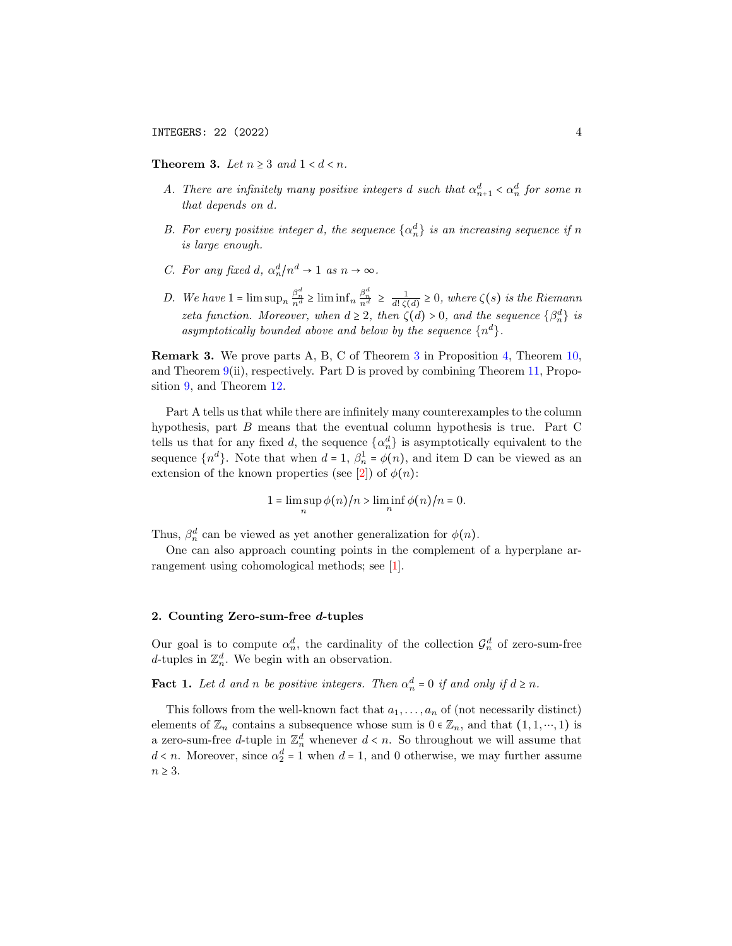<span id="page-3-1"></span>Theorem 3. Let  $n \geq 3$  and  $1 < d < n$ .

- A. There are infinitely many positive integers d such that  $\alpha_{n+1}^d < \alpha_n^d$  for some n that depends on d.
- B. For every positive integer d, the sequence  $\{\alpha_n^d\}$  is an increasing sequence if n is large enough.
- C. For any fixed d,  $\alpha_n^d/n^d \to 1$  as  $n \to \infty$ .
- D. We have  $1 = \limsup_n \frac{\beta_n^d}{n^d} \ge \liminf_n \frac{\beta_n^d}{n^d} \ge \frac{1}{d! \zeta(d)} \ge 0$ , where  $\zeta(s)$  is the Riemann zeta function. Moreover, when  $d \geq 2$ , then  $\zeta(d) > 0$ , and the sequence  $\{\beta_n^d\}$  is asymptotically bounded above and below by the sequence  $\{n^d\}$ .

Remark 3. We prove parts A, B, C of Theorem [3](#page-3-1) in Proposition [4,](#page-14-0) Theorem [10,](#page-18-0) and Theorem  $9(i)$  $9(i)$ , respectively. Part D is proved by combining Theorem [11,](#page-19-0) Proposition [9,](#page-20-0) and Theorem [12.](#page-21-0)

Part A tells us that while there are infinitely many counterexamples to the column hypothesis, part B means that the eventual column hypothesis is true. Part C tells us that for any fixed d, the sequence  $\{\alpha_n^d\}$  is asymptotically equivalent to the sequence  $\{n^d\}$ . Note that when  $d = 1$ ,  $\beta_n^1 = \phi(n)$ , and item D can be viewed as an extension of the known properties (see [\[2\]](#page-22-5)) of  $\phi(n)$ :

$$
1 = \limsup_{n} \phi(n)/n > \liminf_{n} \phi(n)/n = 0.
$$

Thus,  $\beta_n^d$  can be viewed as yet another generalization for  $\phi(n)$ .

One can also approach counting points in the complement of a hyperplane arrangement using cohomological methods; see [\[1\]](#page-22-6).

### 2. Counting Zero-sum-free d-tuples

Our goal is to compute  $\alpha_n^d$ , the cardinality of the collection  $\mathcal{G}_n^d$  of zero-sum-free d-tuples in  $\mathbb{Z}_n^d$ . We begin with an observation.

<span id="page-3-0"></span>**Fact 1.** Let d and n be positive integers. Then  $\alpha_n^d = 0$  if and only if  $d \ge n$ .

This follows from the well-known fact that  $a_1, \ldots, a_n$  of (not necessarily distinct) elements of  $\mathbb{Z}_n$  contains a subsequence whose sum is  $0 \in \mathbb{Z}_n$ , and that  $(1, 1, \dots, 1)$  is a zero-sum-free d-tuple in  $\mathbb{Z}_n^d$  whenever  $d \lt n$ . So throughout we will assume that  $d \lt n$ . Moreover, since  $\alpha_2^d = 1$  when  $d = 1$ , and 0 otherwise, we may further assume  $n \geq 3$ .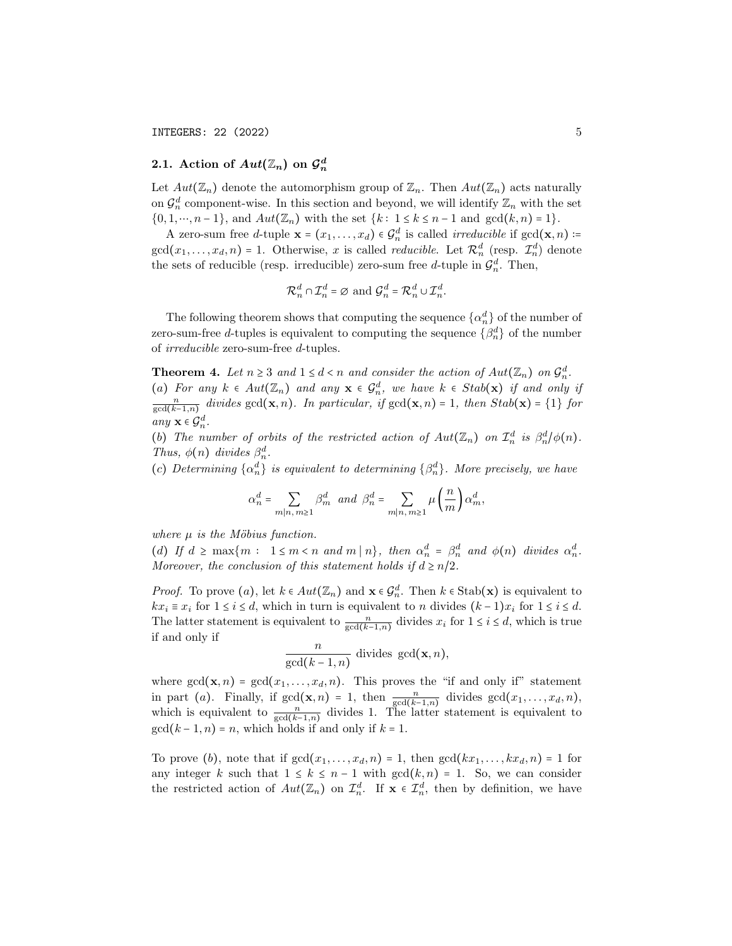# 2.1. Action of  $Aut(\mathbb{Z}_n)$  on  $\mathcal{G}_n^d$

Let  $Aut(\mathbb{Z}_n)$  denote the automorphism group of  $\mathbb{Z}_n$ . Then  $Aut(\mathbb{Z}_n)$  acts naturally on  $\mathcal{G}_n^d$  component-wise. In this section and beyond, we will identify  $\mathbb{Z}_n$  with the set  $\{0, 1, \dots, n-1\}$ , and  $Aut(\mathbb{Z}_n)$  with the set  $\{k : 1 \le k \le n-1 \text{ and } \gcd(k, n) = 1\}$ .

A zero-sum free *d*-tuple  $\mathbf{x} = (x_1, \dots, x_d) \in \mathcal{G}_n^d$  is called *irreducible* if  $gcd(\mathbf{x}, n)$  :=  $gcd(x_1,...,x_d,n) = 1.$  Otherwise, x is called *reducible*. Let  $\mathcal{R}_n^d$  (resp.  $\mathcal{I}_n^d$ ) denote the sets of reducible (resp. irreducible) zero-sum free d-tuple in  $\mathcal{G}_n^d$ . Then,

$$
\mathcal{R}_n^d \cap \mathcal{I}_n^d = \varnothing
$$
 and  $\mathcal{G}_n^d = \mathcal{R}_n^d \cup \mathcal{I}_n^d$ .

The following theorem shows that computing the sequence  $\{\alpha_n^d\}$  of the number of zero-sum-free *d*-tuples is equivalent to computing the sequence  $\{\beta_n^d\}$  of the number of irreducible zero-sum-free d-tuples.

<span id="page-4-0"></span>**Theorem 4.** Let  $n \geq 3$  and  $1 \leq d < n$  and consider the action of  $Aut(\mathbb{Z}_n)$  on  $\mathcal{G}_n^d$ . (a) For any  $k \in Aut(\mathbb{Z}_n)$  and any  $\mathbf{x} \in \mathcal{G}_n^d$ , we have  $k \in Stab(\mathbf{x})$  if and only if  $\frac{n}{\gcd(k-1,n)}$  divides  $\gcd(\mathbf{x},n)$ . In particular, if  $\gcd(\mathbf{x},n) = 1$ , then  $Stab(\mathbf{x}) = \{1\}$  for any  $\mathbf{x} \in \mathcal{G}_n^d$ .

(b) The number of orbits of the restricted action of  $Aut(\mathbb{Z}_n)$  on  $\mathcal{I}_n^d$  is  $\beta_n^d/\phi(n)$ . Thus,  $\phi(n)$  divides  $\beta_n^d$ .

(c) Determining  $\{\alpha_n^d\}$  is equivalent to determining  $\{\beta_n^d\}$ . More precisely, we have

$$
\alpha_n^d=\sum_{m|n,\,m\geq 1}\beta_m^d\ \ and\ \ \beta_n^d=\sum_{m|n,\,m\geq 1}\mu\left(\frac{n}{m}\right)\alpha_m^d,
$$

where  $\mu$  is the Möbius function.

(d) If  $d \ge \max\{m : 1 \le m < n \text{ and } m | n\}$ , then  $\alpha_n^d = \beta_n^d$  and  $\phi(n)$  divides  $\alpha_n^d$ . Moreover, the conclusion of this statement holds if  $d \geq n/2$ .

*Proof.* To prove  $(a)$ , let  $k \in Aut(\mathbb{Z}_n)$  and  $\mathbf{x} \in \mathcal{G}_n^d$ . Then  $k \in \text{Stab}(\mathbf{x})$  is equivalent to  $kx_i \equiv x_i$  for  $1 \leq i \leq d$ , which in turn is equivalent to n divides  $(k-1)x_i$  for  $1 \leq i \leq d$ . The latter statement is equivalent to  $\frac{n}{\gcd(k-1,n)}$  divides  $x_i$  for  $1 \le i \le d$ , which is true if and only if

$$
\frac{n}{\gcd(k-1,n)} \text{ divides } \gcd(\mathbf{x},n),
$$

where  $gcd(\mathbf{x}, n) = gcd(x_1, \ldots, x_d, n)$ . This proves the "if and only if" statement in part (a). Finally, if  $gcd(\mathbf{x}, n) = 1$ , then  $\frac{n}{gcd(k-1,n)}$  divides  $gcd(x_1, \ldots, x_d, n)$ , which is equivalent to  $\frac{n}{\gcd(k-1,n)}$  divides 1. The latter statement is equivalent to  $gcd(k-1, n) = n$ , which holds if and only if  $k = 1$ .

To prove (b), note that if  $gcd(x_1, \ldots, x_d, n) = 1$ , then  $gcd(kx_1, \ldots, kx_d, n) = 1$  for any integer k such that  $1 \leq k \leq n-1$  with  $gcd(k,n) = 1$ . So, we can consider the restricted action of  $Aut(\mathbb{Z}_n)$  on  $\mathcal{I}_n^d$ . If  $\mathbf{x} \in \mathcal{I}_n^d$ , then by definition, we have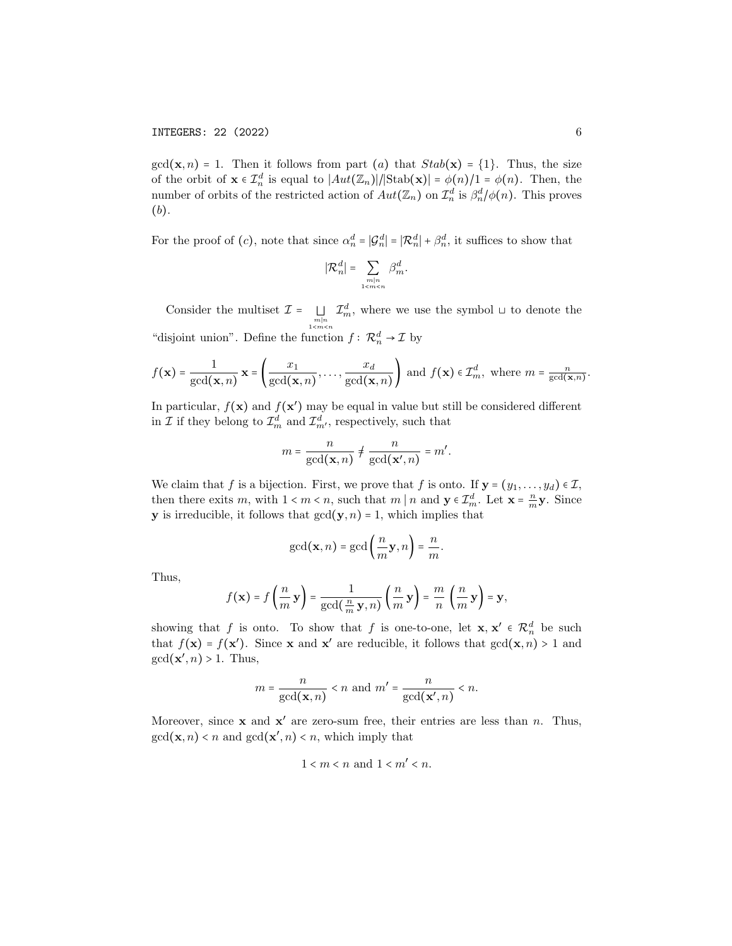$gcd(\mathbf{x}, n) = 1$ . Then it follows from part (a) that  $Stab(\mathbf{x}) = \{1\}$ . Thus, the size of the orbit of  $\mathbf{x} \in \mathcal{I}_n^d$  is equal to  $|Aut(\mathbb{Z}_n)|/|\text{Stab}(\mathbf{x})| = \phi(n)/1 = \phi(n)$ . Then, the number of orbits of the restricted action of  $Aut(\mathbb{Z}_n)$  on  $\mathcal{I}_n^d$  is  $\beta_n^d/\phi(n)$ . This proves (b).

For the proof of  $(c)$ , note that since  $\alpha_n^d = |\mathcal{G}_n^d| = |\mathcal{R}_n^d| + \beta_n^d$ , it suffices to show that

$$
|\mathcal{R}_n^d| = \sum_{\substack{m|n\\1
$$

Consider the multiset  $\mathcal{I} = \bigsqcup_{\substack{m|n \ n \leq m \leq n}}$  $\mathcal{I}_m^d$ , where we use the symbol ⊔ to denote the "disjoint union". Define the function  $f: \mathcal{R}_n^d \to \mathcal{I}$  by

$$
f(\mathbf{x}) = \frac{1}{\gcd(\mathbf{x}, n)} \mathbf{x} = \left(\frac{x_1}{\gcd(\mathbf{x}, n)}, \dots, \frac{x_d}{\gcd(\mathbf{x}, n)}\right) \text{ and } f(\mathbf{x}) \in \mathcal{I}_m^d, \text{ where } m = \frac{n}{\gcd(\mathbf{x}, n)}.
$$

In particular,  $f(\mathbf{x})$  and  $f(\mathbf{x}')$  may be equal in value but still be considered different in  $\mathcal I$  if they belong to  $\mathcal I^d_m$  and  $\mathcal I^d_{m'}$ , respectively, such that

$$
m = \frac{n}{\gcd(\mathbf{x}, n)} \neq \frac{n}{\gcd(\mathbf{x}', n)} = m'.
$$

We claim that f is a bijection. First, we prove that f is onto. If  $y = (y_1, \ldots, y_d) \in \mathcal{I}$ , then there exits m, with  $1 < m < n$ , such that m | n and  $y \in \mathcal{I}_{m}^{d}$ . Let  $\mathbf{x} = \frac{n}{m} \mathbf{y}$ . Since **y** is irreducible, it follows that  $gcd(y, n) = 1$ , which implies that

$$
\gcd(\mathbf{x},n)=\gcd\left(\frac{n}{m}\mathbf{y},n\right)=\frac{n}{m}.
$$

Thus,

$$
f(\mathbf{x}) = f\left(\frac{n}{m}\mathbf{y}\right) = \frac{1}{\gcd(\frac{n}{m}\mathbf{y},n)}\left(\frac{n}{m}\mathbf{y}\right) = \frac{m}{n}\left(\frac{n}{m}\mathbf{y}\right) = \mathbf{y},
$$

showing that f is onto. To show that f is one-to-one, let  $\mathbf{x}, \mathbf{x}' \in \mathcal{R}_n^d$  be such that  $f(\mathbf{x}) = f(\mathbf{x}')$ . Since **x** and **x'** are reducible, it follows that  $gcd(\mathbf{x}, n) > 1$  and  $gcd(\mathbf{x}', n) > 1$ . Thus,

$$
m = \frac{n}{\gcd(\mathbf{x}, n)} < n \text{ and } m' = \frac{n}{\gcd(\mathbf{x}', n)} < n.
$$

Moreover, since  $x$  and  $x'$  are zero-sum free, their entries are less than n. Thus,  $gcd(\mathbf{x}, n) < n$  and  $gcd(\mathbf{x}', n) < n$ , which imply that

$$
1 < m < n \text{ and } 1 < m' < n.
$$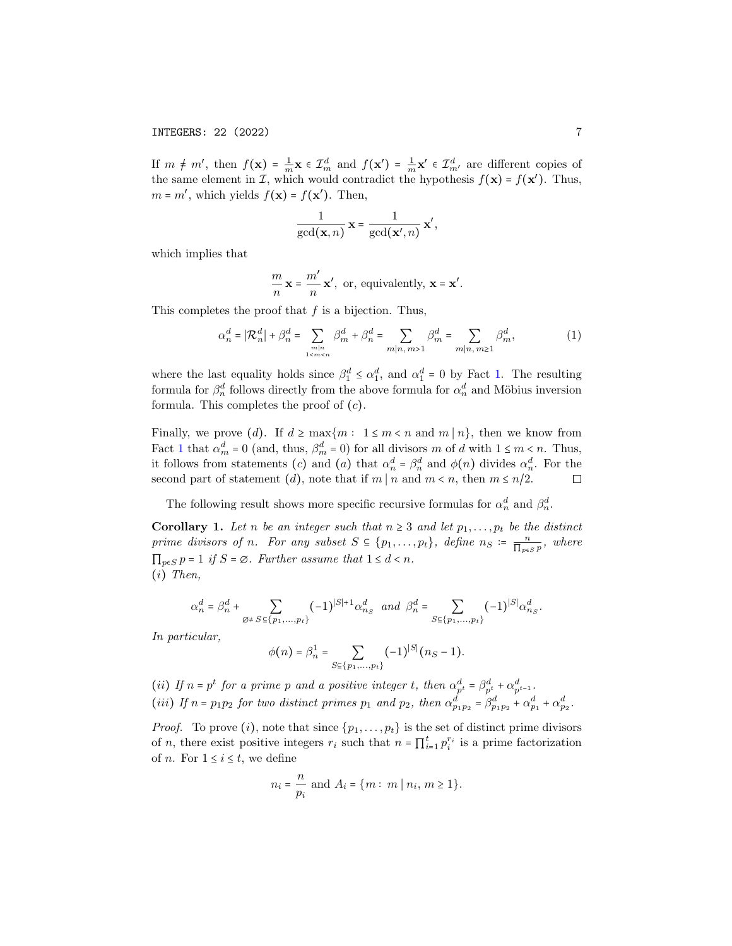If  $m \neq m'$ , then  $f(\mathbf{x}) = \frac{1}{m}\mathbf{x} \in \mathcal{I}_{m}^{d}$  and  $f(\mathbf{x}') = \frac{1}{m}\mathbf{x}' \in \mathcal{I}_{m'}^{d}$  are different copies of the same element in  $\mathcal{I}$ , which would contradict the hypothesis  $f(\mathbf{x}) = f(\mathbf{x}')$ . Thus,  $m = m'$ , which yields  $f(\mathbf{x}) = f(\mathbf{x}')$ . Then,

$$
\frac{1}{\gcd(\mathbf{x},n)}\,\mathbf{x}=\frac{1}{\gcd(\mathbf{x}',n)}\,\mathbf{x}',
$$

which implies that

$$
\frac{m}{n} \mathbf{x} = \frac{m'}{n} \mathbf{x'}, \text{ or, equivalently, } \mathbf{x} = \mathbf{x'}.
$$

This completes the proof that  $f$  is a bijection. Thus,

$$
\alpha_n^d = |\mathcal{R}_n^d| + \beta_n^d = \sum_{\substack{m|n\\1 < m < n}} \beta_m^d + \beta_n^d = \sum_{m|n, m > 1} \beta_m^d = \sum_{m|n, m \ge 1} \beta_m^d,\tag{1}
$$

where the last equality holds since  $\beta_1^d \leq \alpha_1^d$ , and  $\alpha_1^d = 0$  by Fact [1.](#page-3-0) The resulting formula for  $\beta_n^d$  follows directly from the above formula for  $\alpha_n^d$  and Möbius inversion formula. This completes the proof of  $(c)$ .

Finally, we prove (d). If  $d \ge \max\{m : 1 \le m < n \text{ and } m | n\}$ , then we know from Fact [1](#page-3-0) that  $\alpha_m^d = 0$  (and, thus,  $\beta_m^d = 0$ ) for all divisors m of d with  $1 \le m < n$ . Thus, it follows from statements (c) and (a) that  $\alpha_n^d = \beta_n^d$  and  $\phi(n)$  divides  $\alpha_n^d$ . For the second part of statement (d), note that if  $m \mid n$  and  $m < n$ , then  $m \leq n/2$ .  $\Box$ 

The following result shows more specific recursive formulas for  $\alpha_n^d$  and  $\beta_n^d$ .

<span id="page-6-0"></span>Corollary 1. Let n be an integer such that  $n \geq 3$  and let  $p_1, \ldots, p_t$  be the distinct prime divisors of n. For any subset  $S \subseteq \{p_1, \ldots, p_t\}$ , define  $n_S \coloneqq \frac{n}{\prod_{p \in S} p}$ , where  $\prod_{p\in S} p = 1$  if  $S = \emptyset$ . Further assume that  $1 \leq d < n$ . (i) Then,

$$
\alpha_n^d=\beta_n^d+\sum_{\emptyset\neq S\subseteq\{p_1,...,p_t\}}(-1)^{|S|+1}\alpha_{n_S}^d\ \ and\ \ \beta_n^d=\sum_{S\subseteq\{p_1,...,p_t\}}(-1)^{|S|}\alpha_{n_S}^d.
$$

In particular,

$$
\phi(n) = \beta_n^1 = \sum_{S \in \{p_1, \dots, p_t\}} (-1)^{|S|} (n_S - 1).
$$

(ii) If  $n = p^t$  for a prime p and a positive integer t, then  $\alpha_{p^t}^d = \beta_{p^t}^d + \alpha_{p^{t-1}}^d$ . (iii) If  $n = p_1p_2$  for two distinct primes  $p_1$  and  $p_2$ , then  $\alpha_{p_1p_2}^d = \beta_{p_1p_2}^d + \alpha_{p_1}^d + \alpha_{p_2}^d$ .

*Proof.* To prove (i), note that since  $\{p_1, \ldots, p_t\}$  is the set of distinct prime divisors of n, there exist positive integers  $r_i$  such that  $n = \prod_{i=1}^t p_i^{r_i}$  is a prime factorization of *n*. For  $1 \leq i \leq t$ , we define

$$
n_i = \frac{n}{p_i}
$$
 and  $A_i = \{m : m | n_i, m \ge 1\}.$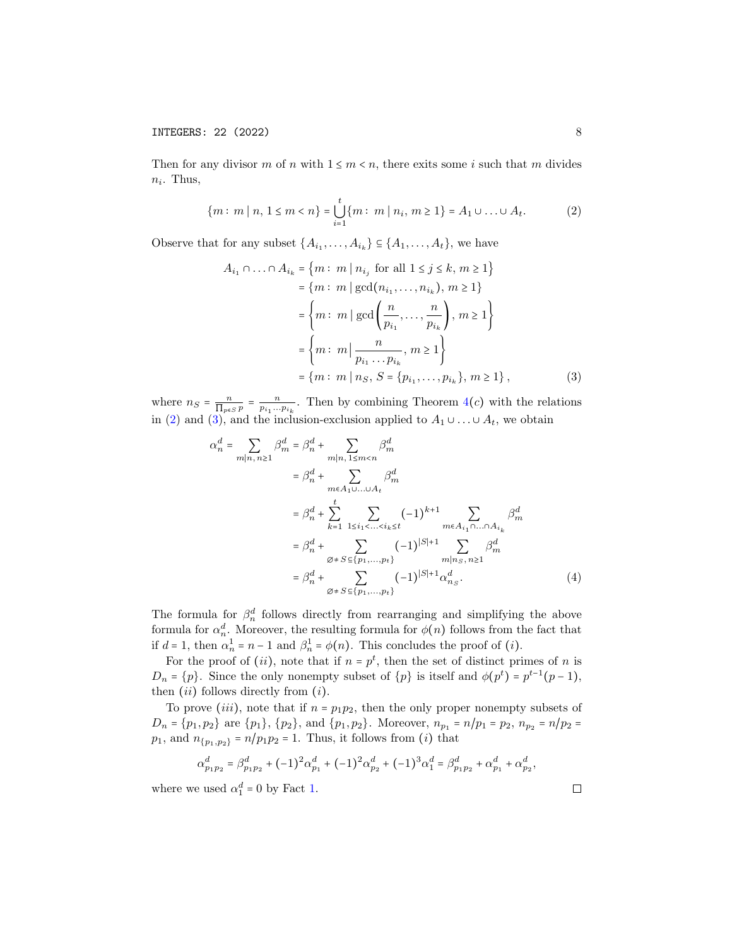Then for any divisor m of n with  $1 \leq m < n$ , there exits some i such that m divides  $n_i$ . Thus,

<span id="page-7-0"></span>
$$
\{m : m \mid n, 1 \le m < n\} = \bigcup_{i=1}^{t} \{m : m \mid n_i, m \ge 1\} = A_1 \cup \ldots \cup A_t. \tag{2}
$$

Observe that for any subset  $\{A_{i_1}, \ldots, A_{i_k}\} \subseteq \{A_1, \ldots, A_t\}$ , we have

<span id="page-7-1"></span>
$$
A_{i_1} \cap ... \cap A_{i_k} = \{m : m \mid n_{i_j} \text{ for all } 1 \le j \le k, m \ge 1\}
$$
  
=  $\{m : m \mid \gcd(n_{i_1},...,n_{i_k}), m \ge 1\}$   
=  $\{m : m \mid \gcd\left(\frac{n}{p_{i_1}},..., \frac{n}{p_{i_k}}\right), m \ge 1\}$   
=  $\{m : m \mid \frac{n}{p_{i_1}...p_{i_k}}, m \ge 1\}$   
=  $\{m : m \mid n_S, S = \{p_{i_1},..., p_{i_k}\}, m \ge 1\}$ , (3)

where  $n_S = \frac{n}{\prod_{p \in S} p} = \frac{n}{p_{i_1} \dots p_{i_k}}$ . Then by combining Theorem [4](#page-4-0)(c) with the relations in [\(2\)](#page-7-0) and [\(3\)](#page-7-1), and the inclusion-exclusion applied to  $A_1 \cup \ldots \cup A_t$ , we obtain

$$
\alpha_n^d = \sum_{m|n, n \ge 1} \beta_m^d = \beta_n^d + \sum_{m|n, 1 \le m < n} \beta_m^d
$$
\n
$$
= \beta_n^d + \sum_{m \in A_1 \cup ... \cup A_t} \beta_m^d
$$
\n
$$
= \beta_n^d + \sum_{k=1}^t \sum_{1 \le i_1 < ... < i_k \le t} (-1)^{k+1} \sum_{m \in A_{i_1} \cap ... \cap A_{i_k}} \beta_m^d
$$
\n
$$
= \beta_n^d + \sum_{\emptyset \ne S \subseteq \{p_1, ..., p_t\}} (-1)^{|S|+1} \sum_{m|n_S, n \ge 1} \beta_m^d
$$
\n
$$
= \beta_n^d + \sum_{\emptyset \ne S \subseteq \{p_1, ..., p_t\}} (-1)^{|S|+1} \alpha_{n_S}^d. \tag{4}
$$

The formula for  $\beta_n^d$  follows directly from rearranging and simplifying the above formula for  $\alpha_n^d$ . Moreover, the resulting formula for  $\phi(n)$  follows from the fact that if  $d = 1$ , then  $\alpha_n^1 = n - 1$  and  $\beta_n^1 = \phi(n)$ . This concludes the proof of (*i*).

For the proof of  $(ii)$ , note that if  $n = p<sup>t</sup>$ , then the set of distinct primes of n is  $D_n = \{p\}.$  Since the only nonempty subset of  $\{p\}$  is itself and  $\phi(p^t) = p^{t-1}(p-1),$ then  $(ii)$  follows directly from  $(i)$ .

To prove (*iii*), note that if  $n = p_1p_2$ , then the only proper nonempty subsets of  $D_n = \{p_1, p_2\}$  are  $\{p_1\}$ ,  $\{p_2\}$ , and  $\{p_1, p_2\}$ . Moreover,  $n_{p_1} = n/p_1 = p_2$ ,  $n_{p_2} = n/p_2 =$  $p_1$ , and  $n_{\{p_1,p_2\}} = n/p_1p_2 = 1$ . Thus, it follows from (*i*) that

$$
\alpha_{p_1p_2}^d = \beta_{p_1p_2}^d + (-1)^2 \alpha_{p_1}^d + (-1)^2 \alpha_{p_2}^d + (-1)^3 \alpha_1^d = \beta_{p_1p_2}^d + \alpha_{p_1}^d + \alpha_{p_2}^d,
$$

where we used  $\alpha_1^d = 0$  by Fact [1.](#page-3-0)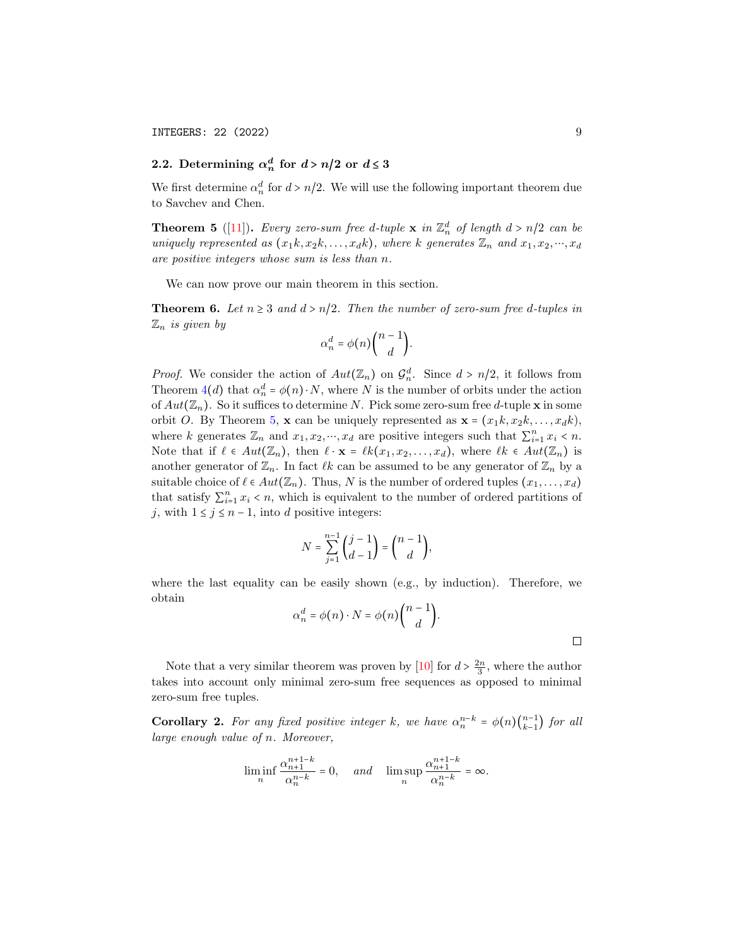## <span id="page-8-2"></span>2.2. Determining  $\alpha_n^d$  for  $d > n/2$  or  $d \leq 3$

We first determine  $\alpha_n^d$  for  $d > n/2$ . We will use the following important theorem due to Savchev and Chen.

<span id="page-8-1"></span>**Theorem 5** ([\[11\]](#page-22-1)). Every zero-sum free d-tuple **x** in  $\mathbb{Z}_n^d$  of length  $d > n/2$  can be uniquely represented as  $(x_1k, x_2k, \ldots, x_dk)$ , where k generates  $\mathbb{Z}_n$  and  $x_1, x_2, \ldots, x_d$ are positive integers whose sum is less than n.

We can now prove our main theorem in this section.

<span id="page-8-0"></span>**Theorem 6.** Let  $n \geq 3$  and  $d > n/2$ . Then the number of zero-sum free d-tuples in  $\mathbb{Z}_n$  is given by

$$
\alpha_n^d = \phi(n) \binom{n-1}{d}.
$$

*Proof.* We consider the action of  $Aut(\mathbb{Z}_n)$  on  $\mathcal{G}_n^d$ . Since  $d > n/2$ , it follows from Theorem  $4(d)$  $4(d)$  that  $\alpha_n^d = \phi(n) \cdot N$ , where N is the number of orbits under the action of  $Aut(\mathbb{Z}_n)$ . So it suffices to determine N. Pick some zero-sum free d-tuple **x** in some orbit O. By Theorem [5,](#page-8-1) x can be uniquely represented as  $\mathbf{x} = (x_1k, x_2k, \ldots, x_dk),$ where k generates  $\mathbb{Z}_n$  and  $x_1, x_2, \dots, x_d$  are positive integers such that  $\sum_{i=1}^n x_i \leq n$ . Note that if  $\ell \in Aut(\mathbb{Z}_n)$ , then  $\ell \cdot \mathbf{x} = \ell k(x_1, x_2, \ldots, x_d)$ , where  $\ell k \in Aut(\mathbb{Z}_n)$  is another generator of  $\mathbb{Z}_n$ . In fact  $\ell k$  can be assumed to be any generator of  $\mathbb{Z}_n$  by a suitable choice of  $\ell \in Aut(\mathbb{Z}_n)$ . Thus, N is the number of ordered tuples  $(x_1, \ldots, x_d)$ that satisfy  $\sum_{i=1}^{n} x_i < n$ , which is equivalent to the number of ordered partitions of j, with  $1 \le j \le n-1$ , into d positive integers:

$$
N = \sum_{j=1}^{n-1} {j-1 \choose d-1} = {n-1 \choose d},
$$

where the last equality can be easily shown (e.g., by induction). Therefore, we obtain

$$
\alpha_n^d = \phi(n) \cdot N = \phi(n) \binom{n-1}{d}.
$$

Note that a very similar theorem was proven by [\[10\]](#page-22-2) for  $d > \frac{2n}{3}$ , where the author takes into account only minimal zero-sum free sequences as opposed to minimal zero-sum free tuples.

**Corollary 2.** For any fixed positive integer k, we have  $\alpha_n^{n-k} = \phi(n) \binom{n-1}{k-1}$  $_{k-1}^{n-1}$ ) for all large enough value of n. Moreover,

$$
\liminf_n \frac{\alpha_{n+1}^{n+1-k}}{\alpha_n^{n-k}}=0, \quad \text{ and } \quad \limsup_n \frac{\alpha_{n+1}^{n+1-k}}{\alpha_n^{n-k}}=\infty.
$$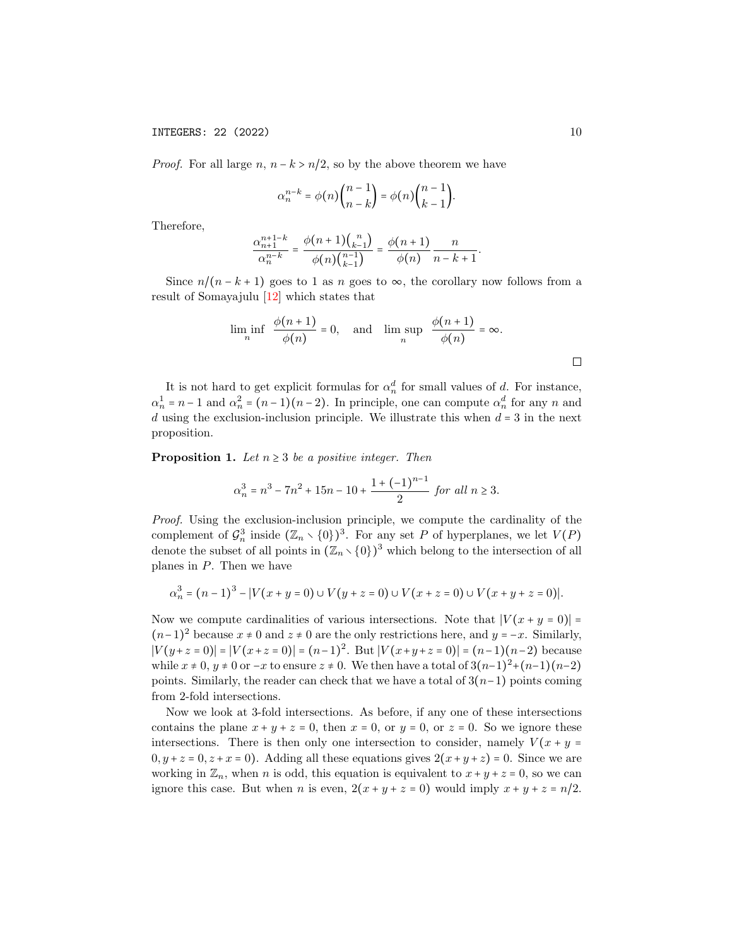*Proof.* For all large  $n, n - k > n/2$ , so by the above theorem we have

$$
\alpha_n^{n-k} = \phi(n) \binom{n-1}{n-k} = \phi(n) \binom{n-1}{k-1}.
$$

Therefore,

$$
\frac{\alpha_{n+1}^{n+1-k}}{\alpha_n^{n-k}} = \frac{\phi(n+1)\binom{n}{k-1}}{\phi(n)\binom{n-1}{k-1}} = \frac{\phi(n+1)}{\phi(n)}\frac{n}{n-k+1}.
$$

Since  $n/(n-k+1)$  goes to 1 as n goes to  $\infty$ , the corollary now follows from a result of Somayajulu [\[12\]](#page-22-7) which states that

$$
\liminf_{n} \frac{\phi(n+1)}{\phi(n)} = 0, \text{ and } \limsup_{n} \frac{\phi(n+1)}{\phi(n)} = \infty.
$$

It is not hard to get explicit formulas for  $\alpha_n^d$  for small values of d. For instance,  $\alpha_n^1 = n - 1$  and  $\alpha_n^2 = (n - 1)(n - 2)$ . In principle, one can compute  $\alpha_n^d$  for any n and  $d$  using the exclusion-inclusion principle. We illustrate this when  $d = 3$  in the next proposition.

**Proposition 1.** Let  $n \geq 3$  be a positive integer. Then

$$
\alpha_n^3 = n^3 - 7n^2 + 15n - 10 + \frac{1 + (-1)^{n-1}}{2} \text{ for all } n \ge 3.
$$

Proof. Using the exclusion-inclusion principle, we compute the cardinality of the complement of  $\mathcal{G}_n^3$  inside  $(\mathbb{Z}_n \setminus \{0\})^3$ . For any set P of hyperplanes, we let  $V(P)$ denote the subset of all points in  $(\mathbb{Z}_n \setminus \{0\})^3$  which belong to the intersection of all planes in  $P$ . Then we have

$$
\alpha_n^3 = (n-1)^3 - |V(x+y=0) \cup V(y+z=0) \cup V(x+z=0) \cup V(x+y+z=0)|.
$$

Now we compute cardinalities of various intersections. Note that  $|V(x + y = 0)| =$  $(n-1)^2$  because  $x \neq 0$  and  $z \neq 0$  are the only restrictions here, and  $y = -x$ . Similarly,  $|V(y+z=0)| = |V(x+z=0)| = (n-1)^2$ . But  $|V(x+y+z=0)| = (n-1)(n-2)$  because while  $x \neq 0$ ,  $y \neq 0$  or  $-x$  to ensure  $z \neq 0$ . We then have a total of  $3(n-1)^2+(n-1)(n-2)$ points. Similarly, the reader can check that we have a total of  $3(n-1)$  points coming from 2-fold intersections.

Now we look at 3-fold intersections. As before, if any one of these intersections contains the plane  $x + y + z = 0$ , then  $x = 0$ , or  $y = 0$ , or  $z = 0$ . So we ignore these intersections. There is then only one intersection to consider, namely  $V(x + y =$  $0, y + z = 0, z + x = 0$ . Adding all these equations gives  $2(x + y + z) = 0$ . Since we are working in  $\mathbb{Z}_n$ , when n is odd, this equation is equivalent to  $x + y + z = 0$ , so we can ignore this case. But when *n* is even,  $2(x + y + z = 0)$  would imply  $x + y + z = n/2$ .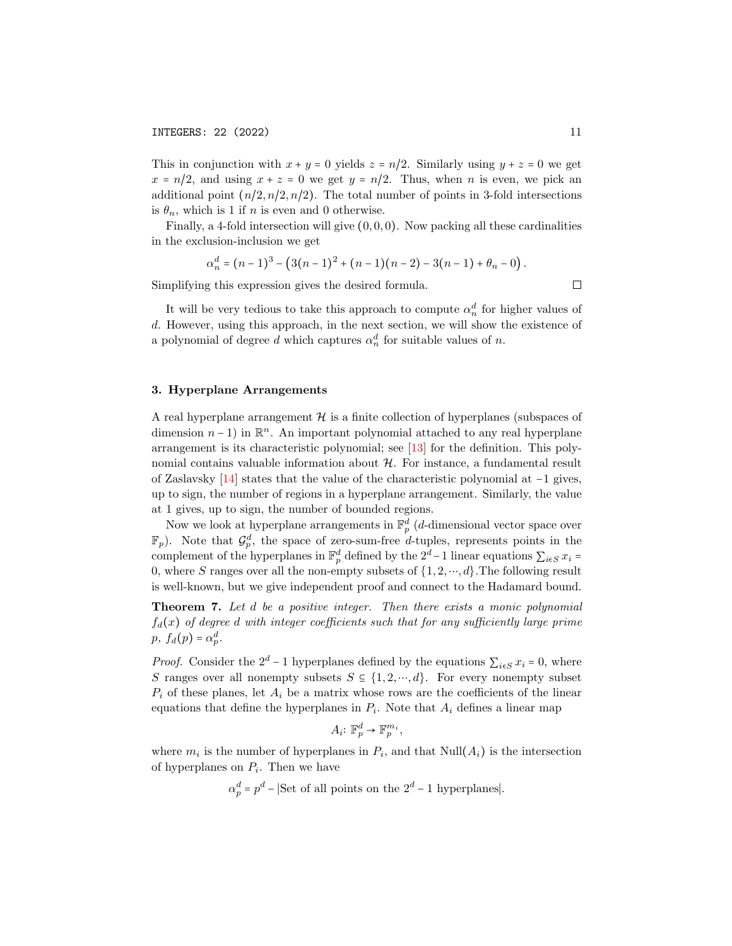This in conjunction with  $x + y = 0$  yields  $z = n/2$ . Similarly using  $y + z = 0$  we get  $x = n/2$ , and using  $x + z = 0$  we get  $y = n/2$ . Thus, when n is even, we pick an additional point  $(n/2, n/2, n/2)$ . The total number of points in 3-fold intersections is  $\theta_n$ , which is 1 if n is even and 0 otherwise.

Finally, a 4-fold intersection will give  $(0, 0, 0)$ . Now packing all these cardinalities in the exclusion-inclusion we get

$$
\alpha_n^d = (n-1)^3 - (3(n-1)^2 + (n-1)(n-2) - 3(n-1) + \theta_n - 0).
$$

Simplifying this expression gives the desired formula.

 $\Box$ 

It will be very tedious to take this approach to compute  $\alpha_n^d$  for higher values of d. However, using this approach, in the next section, we will show the existence of a polynomial of degree d which captures  $\alpha_n^d$  for suitable values of n.

#### 3. Hyperplane Arrangements

A real hyperplane arrangement  $H$  is a finite collection of hyperplanes (subspaces of dimension  $n-1$ ) in  $\mathbb{R}^n$ . An important polynomial attached to any real hyperplane arrangement is its characteristic polynomial; see [\[13\]](#page-22-8) for the definition. This polynomial contains valuable information about  $H$ . For instance, a fundamental result of Zaslavsky [\[14\]](#page-22-9) states that the value of the characteristic polynomial at −1 gives, up to sign, the number of regions in a hyperplane arrangement. Similarly, the value at 1 gives, up to sign, the number of bounded regions.

Now we look at hyperplane arrangements in  $\mathbb{F}_p^d$  (*d*-dimensional vector space over  $\mathbb{F}_p$ ). Note that  $\mathcal{G}_p^d$ , the space of zero-sum-free d-tuples, represents points in the complement of the hyperplanes in  $\mathbb{F}_p^d$  defined by the  $2^d-1$  linear equations  $\sum_{i\in S} x_i =$ 0, where S ranges over all the non-empty subsets of  $\{1, 2, \dots, d\}$ . The following result is well-known, but we give independent proof and connect to the Hadamard bound.

<span id="page-10-0"></span>Theorem 7. Let d be a positive integer. Then there exists a monic polynomial  $f_d(x)$  of degree d with integer coefficients such that for any sufficiently large prime  $p, f_d(p) = \alpha_p^d.$ 

*Proof.* Consider the  $2^d - 1$  hyperplanes defined by the equations  $\sum_{i \in S} x_i = 0$ , where S ranges over all nonempty subsets  $S \subseteq \{1, 2, \dots, d\}$ . For every nonempty subset  $P_i$  of these planes, let  $A_i$  be a matrix whose rows are the coefficients of the linear equations that define the hyperplanes in  $P_i$ . Note that  $A_i$  defines a linear map

$$
A_i: \mathbb{F}_p^d \to \mathbb{F}_p^{m_i},
$$

where  $m_i$  is the number of hyperplanes in  $P_i$ , and that  $\text{Null}(A_i)$  is the intersection of hyperplanes on  $P_i$ . Then we have

 $\alpha_p^d = p^d$  – |Set of all points on the  $2^d - 1$  hyperplanes|.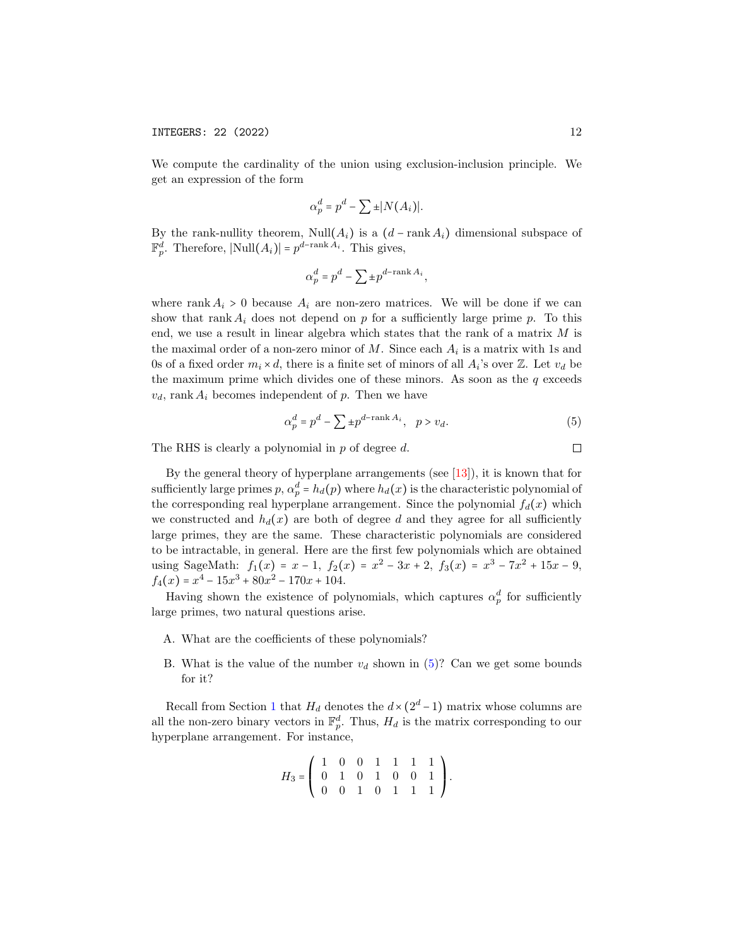We compute the cardinality of the union using exclusion-inclusion principle. We get an expression of the form

$$
\alpha_p^d = p^d - \sum \pm |N(A_i)|.
$$

By the rank-nullity theorem, Null $(A_i)$  is a  $(d - \operatorname{rank} A_i)$  dimensional subspace of  $\mathbb{F}_p^d$ . Therefore,  $|\text{Null}(A_i)| = p^{d-\text{rank }A_i}$ . This gives,

$$
\alpha_p^d = p^d - \sum \pm p^{d - \mathrm{rank}\, A_i},
$$

where rank  $A_i > 0$  because  $A_i$  are non-zero matrices. We will be done if we can show that rank  $A_i$  does not depend on p for a sufficiently large prime p. To this end, we use a result in linear algebra which states that the rank of a matrix M is the maximal order of a non-zero minor of  $M$ . Since each  $A_i$  is a matrix with 1s and 0s of a fixed order  $m_i \times d$ , there is a finite set of minors of all  $A_i$ 's over  $\mathbb{Z}$ . Let  $v_d$  be the maximum prime which divides one of these minors. As soon as the  $q$  exceeds  $v_d$ , rank  $A_i$  becomes independent of p. Then we have

<span id="page-11-0"></span>
$$
\alpha_p^d = p^d - \sum \pm p^{d - \mathrm{rank}\, A_i}, \quad p > v_d. \tag{5}
$$

The RHS is clearly a polynomial in p of degree d.

By the general theory of hyperplane arrangements (see  $[13]$ ), it is known that for sufficiently large primes  $p, \alpha_p^d = h_d(p)$  where  $h_d(x)$  is the characteristic polynomial of the corresponding real hyperplane arrangement. Since the polynomial  $f_d(x)$  which we constructed and  $h_d(x)$  are both of degree d and they agree for all sufficiently large primes, they are the same. These characteristic polynomials are considered to be intractable, in general. Here are the first few polynomials which are obtained using SageMath:  $f_1(x) = x - 1$ ,  $f_2(x) = x^2 - 3x + 2$ ,  $f_3(x) = x^3 - 7x^2 + 15x - 9$ ,  $f_4(x) = x^4 - 15x^3 + 80x^2 - 170x + 104.$ 

Having shown the existence of polynomials, which captures  $\alpha_p^d$  for sufficiently large primes, two natural questions arise.

- A. What are the coefficients of these polynomials?
- B. What is the value of the number  $v_d$  shown in [\(5\)](#page-11-0)? Can we get some bounds for it?

Recall from Section [1](#page-0-1) that  $H_d$  denotes the  $d \times (2^d - 1)$  matrix whose columns are all the non-zero binary vectors in  $\mathbb{F}_p^d$ . Thus,  $H_d$  is the matrix corresponding to our hyperplane arrangement. For instance,

$$
H_3 = \left( \begin{array}{rrrrr} 1 & 0 & 0 & 1 & 1 & 1 & 1 \\ 0 & 1 & 0 & 1 & 0 & 0 & 1 \\ 0 & 0 & 1 & 0 & 1 & 1 & 1 \end{array} \right).
$$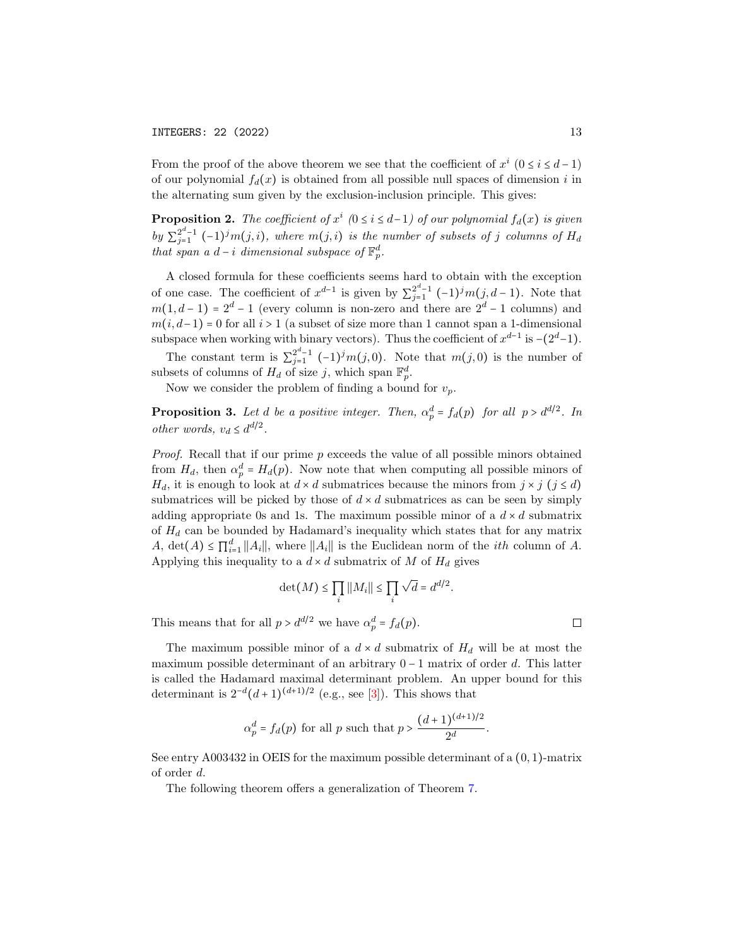From the proof of the above theorem we see that the coefficient of  $x^i$  ( $0 \le i \le d-1$ ) of our polynomial  $f_d(x)$  is obtained from all possible null spaces of dimension i in the alternating sum given by the exclusion-inclusion principle. This gives:

<span id="page-12-0"></span>**Proposition 2.** The coefficient of  $x^i$  (0 ≤ i ≤ d-1) of our polynomial  $f_d(x)$  is given  $by \sum_{i=1}^{2^d-1}$  $j_{j=1}^{2^a-1}$  (-1)<sup>j</sup>m(j, i), where m(j, i) is the number of subsets of j columns of  $H_d$ that span a  $d-i$  dimensional subspace of  $\mathbb{F}_p^d$ .

A closed formula for these coefficients seems hard to obtain with the exception of one case. The coefficient of  $x^{d-1}$  is given by  $\sum_{j=1}^{2^d-1}$  $\sum_{j=1}^{2^a-1} (-1)^j m(j, d-1)$ . Note that  $m(1, d-1) = 2<sup>d</sup> - 1$  (every column is non-zero and there are  $2<sup>d</sup> - 1$  columns) and  $m(i, d-1) = 0$  for all  $i > 1$  (a subset of size more than 1 cannot span a 1-dimensional subspace when working with binary vectors). Thus the coefficient of  $x^{d-1}$  is  $-(2^d-1)$ .

The constant term is  $\sum_{j=1}^{2^d-1}$  $j_{j=1}^{2^{a}-1}$  (-1)<sup>j</sup>m(j,0). Note that m(j,0) is the number of subsets of columns of  $H_d$  of size j, which span  $\mathbb{F}_p^d$ .

Now we consider the problem of finding a bound for  $v_p$ .

**Proposition 3.** Let d be a positive integer. Then,  $\alpha_p^d = f_d(p)$  for all  $p > d^{d/2}$ . In other words,  $v_d \leq d^{d/2}$ .

Proof. Recall that if our prime p exceeds the value of all possible minors obtained from  $H_d$ , then  $\alpha_p^d = H_d(p)$ . Now note that when computing all possible minors of  $H_d$ , it is enough to look at  $d \times d$  submatrices because the minors from  $j \times j$   $(j \le d)$ submatrices will be picked by those of  $d \times d$  submatrices as can be seen by simply adding appropriate 0s and 1s. The maximum possible minor of a  $d \times d$  submatrix of  $H_d$  can be bounded by Hadamard's inequality which states that for any matrix A, det(A)  $\leq \prod_{i=1}^d ||A_i||$ , where  $||A_i||$  is the Euclidean norm of the *ith* column of A. Applying this inequality to a  $d \times d$  submatrix of M of  $H_d$  gives

$$
\det(M) \le \prod_i ||M_i|| \le \prod_i \sqrt{d} = d^{d/2}
$$

.

This means that for all  $p > d^{d/2}$  we have  $\alpha_p^d = f_d(p)$ .

The maximum possible minor of a  $d \times d$  submatrix of  $H_d$  will be at most the maximum possible determinant of an arbitrary 0 − 1 matrix of order d. This latter is called the Hadamard maximal determinant problem. An upper bound for this determinant is  $2^{-d}(d+1)^{(d+1)/2}$  (e.g., see [\[3\]](#page-22-10)). This shows that

$$
\alpha_p^d = f_d(p) \text{ for all } p \text{ such that } p > \frac{(d+1)^{(d+1)/2}}{2^d}.
$$

See entry A003432 in OEIS for the maximum possible determinant of a  $(0, 1)$ -matrix of order d.

The following theorem offers a generalization of Theorem [7.](#page-10-0)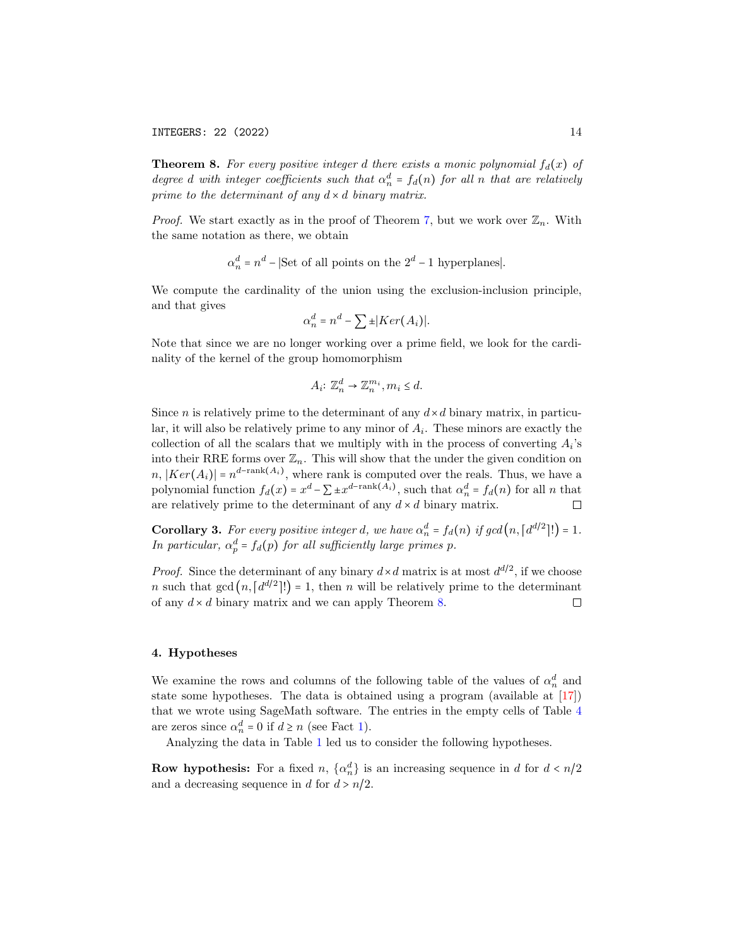INTEGERS: 22 (2022) 14

<span id="page-13-0"></span>**Theorem 8.** For every positive integer d there exists a monic polynomial  $f_d(x)$  of degree d with integer coefficients such that  $\alpha_n^d = f_d(n)$  for all n that are relatively prime to the determinant of any  $d \times d$  binary matrix.

*Proof.* We start exactly as in the proof of Theorem [7,](#page-10-0) but we work over  $\mathbb{Z}_n$ . With the same notation as there, we obtain

 $\alpha_n^d$  =  $n^d$  – |Set of all points on the  $2^d$  – 1 hyperplanes|.

We compute the cardinality of the union using the exclusion-inclusion principle, and that gives

$$
\alpha_n^d = n^d - \sum \pm |Ker(A_i)|.
$$

Note that since we are no longer working over a prime field, we look for the cardinality of the kernel of the group homomorphism

$$
A_i: \mathbb{Z}_n^d \to \mathbb{Z}_n^{m_i}, m_i \leq d.
$$

Since *n* is relatively prime to the determinant of any  $d \times d$  binary matrix, in particular, it will also be relatively prime to any minor of  $A_i$ . These minors are exactly the collection of all the scalars that we multiply with in the process of converting  $A_i$ 's into their RRE forms over  $\mathbb{Z}_n$ . This will show that the under the given condition on  $n, |Ker(A_i)| = n^{d-rank(A_i)},$  where rank is computed over the reals. Thus, we have a polynomial function  $f_d(x) = x^d - \sum \pm x^{d-\text{rank}(A_i)}$ , such that  $\alpha_n^d = f_d(n)$  for all n that are relatively prime to the determinant of any  $d \times d$  binary matrix.  $\Box$ 

<span id="page-13-1"></span>**Corollary 3.** For every positive integer d, we have  $\alpha_n^d = f_d(n)$  if  $gcd(n, [d^{d/2}]!) = 1$ . In particular,  $\alpha_p^d = f_d(p)$  for all sufficiently large primes p.

*Proof.* Since the determinant of any binary  $d \times d$  matrix is at most  $d^{d/2}$ , if we choose *n* such that  $gcd(n, [d^{d/2}]!) = 1$ , then *n* will be relatively prime to the determinant of any  $d \times d$  binary matrix and we can apply Theorem [8.](#page-13-0)  $\Box$ 

### <span id="page-13-2"></span>4. Hypotheses

We examine the rows and columns of the following table of the values of  $\alpha_n^d$  and state some hypotheses. The data is obtained using a program (available at [\[17\]](#page-22-11)) that we wrote using SageMath software. The entries in the empty cells of Table [4](#page-13-2) are zeros since  $\alpha_n^d = 0$  if  $d \ge n$  (see Fact [1\)](#page-3-0).

Analyzing the data in Table [1](#page-14-1) led us to consider the following hypotheses.

**Row hypothesis:** For a fixed n,  $\{\alpha_n^d\}$  is an increasing sequence in d for  $d < n/2$ and a decreasing sequence in d for  $d > n/2$ .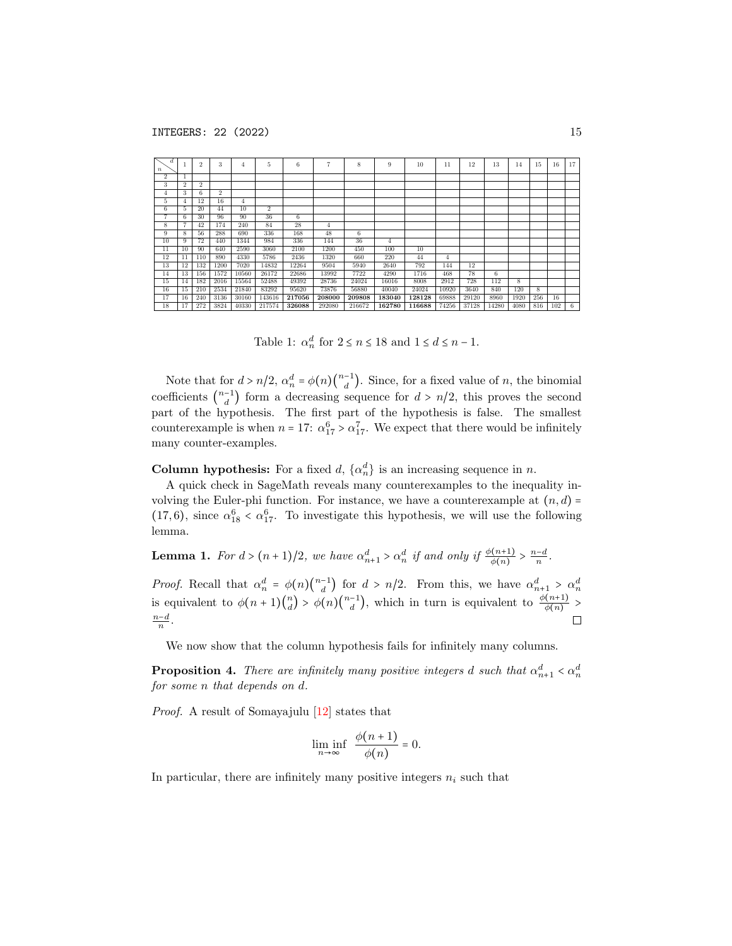| d<br>$\boldsymbol{n}$ |                 | $\overline{2}$ | 3              | 4              | 5              | 6      | $\overline{7}$ | 8      | 9              | 10     | 11    | 12    | 13    | 14             | 15  | 16  | 17 |
|-----------------------|-----------------|----------------|----------------|----------------|----------------|--------|----------------|--------|----------------|--------|-------|-------|-------|----------------|-----|-----|----|
| $\overline{2}$        |                 |                |                |                |                |        |                |        |                |        |       |       |       |                |     |     |    |
| 3                     | $\overline{2}$  | $\overline{2}$ |                |                |                |        |                |        |                |        |       |       |       |                |     |     |    |
| 4                     | 3               | 6.             | $\overline{2}$ |                |                |        |                |        |                |        |       |       |       |                |     |     |    |
| 5                     | 4               | 12             | 16             | $\overline{4}$ |                |        |                |        |                |        |       |       |       |                |     |     |    |
| 6                     | h               | 20             | 44             | 10             | $\overline{2}$ |        |                |        |                |        |       |       |       |                |     |     |    |
| ٠                     | 6               | 30             | 96             | 90             | 36             | 6      |                |        |                |        |       |       |       |                |     |     |    |
| $\overline{8}$        |                 | 42             | 174            | 240            | 84             | 28     | $\overline{4}$ |        |                |        |       |       |       |                |     |     |    |
| 9                     | 8               | 56             | 288            | 690            | 336            | 168    | 48             | 6      |                |        |       |       |       |                |     |     |    |
| $\overline{10}$       | 9               | 72             | 440            | 1344           | 984            | 336    | 144            | 36     | $\overline{4}$ |        |       |       |       |                |     |     |    |
| 11                    | 10              | 90             | 640            | 2590           | 3060           | 2100   | 1200           | 450    | 100            | 10     |       |       |       |                |     |     |    |
| 12                    | 11              | 110            | 890            | 4330           | 5786           | 2436   | 1320           | 660    | 220            | 44     | 4     |       |       |                |     |     |    |
| 13                    | 12              | 132            | 1200           | 7020           | 14832          | 12264  | 9504           | 5940   | 2640           | 792    | 144   | 12    |       |                |     |     |    |
| 14                    | $1\overline{3}$ | 156            | 1572           | 10560          | 26172          | 22686  | 13992          | 7722   | 4290           | 1716   | 468   | 78    | 6     |                |     |     |    |
| 15                    | 14              | 182            | 2016           | 15564          | 52488          | 49392  | 28736          | 24024  | 16016          | 8008   | 2912  | 728   | 112   | $\overline{8}$ |     |     |    |
| 16                    | 15              | 210            | 2534           | 21840          | 83292          | 95620  | 73876          | 56880  | 40040          | 24024  | 10920 | 3640  | 840   | 120            | 8   |     |    |
| 17                    | 16              | 240            | 3136           | 30160          | 143616         | 217056 | 208000         | 209808 | 183040         | 128128 | 69888 | 29120 | 8960  | 1920           | 256 | 16  |    |
| 18                    | 17              | 272            | 3824           | 40330          | 217574         | 326088 | 292080         | 216672 | 162780         | 116688 | 74256 | 37128 | 14280 | 4080           | 816 | 102 | 6  |

<span id="page-14-1"></span>Table 1:  $\alpha_n^d$  for  $2 \le n \le 18$  and  $1 \le d \le n - 1$ .

Note that for  $d > n/2$ ,  $\alpha_n^d = \phi(n) \binom{n-1}{d}$  $\binom{-1}{d}$ . Since, for a fixed value of *n*, the binomial coefficients  $\binom{n-1}{d}$  $\binom{-1}{d}$  form a decreasing sequence for  $d > n/2$ , this proves the second part of the hypothesis. The first part of the hypothesis is false. The smallest counterexample is when  $n = 17$ :  $\alpha_{17}^6 > \alpha_{17}^7$ . We expect that there would be infinitely many counter-examples.

**Column hypothesis:** For a fixed d,  $\{\alpha_n^d\}$  is an increasing sequence in n.

A quick check in SageMath reveals many counterexamples to the inequality involving the Euler-phi function. For instance, we have a counterexample at  $(n, d)$  = (17,6), since  $\alpha_{18}^6 < \alpha_{17}^6$ . To investigate this hypothesis, we will use the following lemma.

**Lemma 1.** For  $d > (n+1)/2$ , we have  $\alpha_{n+1}^d > \alpha_n^d$  if and only if  $\frac{\phi(n+1)}{\phi(n)} > \frac{n-d}{n}$ .

*Proof.* Recall that  $\alpha_n^d = \phi(n) \binom{n-1}{d}$  $\binom{-1}{d}$  for  $d > n/2$ . From this, we have  $\alpha_{n+1}^d > \alpha_n^d$  $\binom{n}{d}$  >  $\phi(n)\binom{n-1}{d}$ <sup>-1</sup></sub>), which in turn is equivalent to  $\frac{\phi(n+1)}{\phi(n)}$  > is equivalent to  $\phi(n+1)$  $\frac{n-d}{n}$ .  $\Box$ 

We now show that the column hypothesis fails for infinitely many columns.

<span id="page-14-0"></span>**Proposition 4.** There are infinitely many positive integers  $d$  such that  $\alpha_{n+1}^d < \alpha_n^d$ for some n that depends on d.

Proof. A result of Somayajulu [\[12\]](#page-22-7) states that

$$
\liminf_{n \to \infty} \frac{\phi(n+1)}{\phi(n)} = 0.
$$

In particular, there are infinitely many positive integers  $n_i$  such that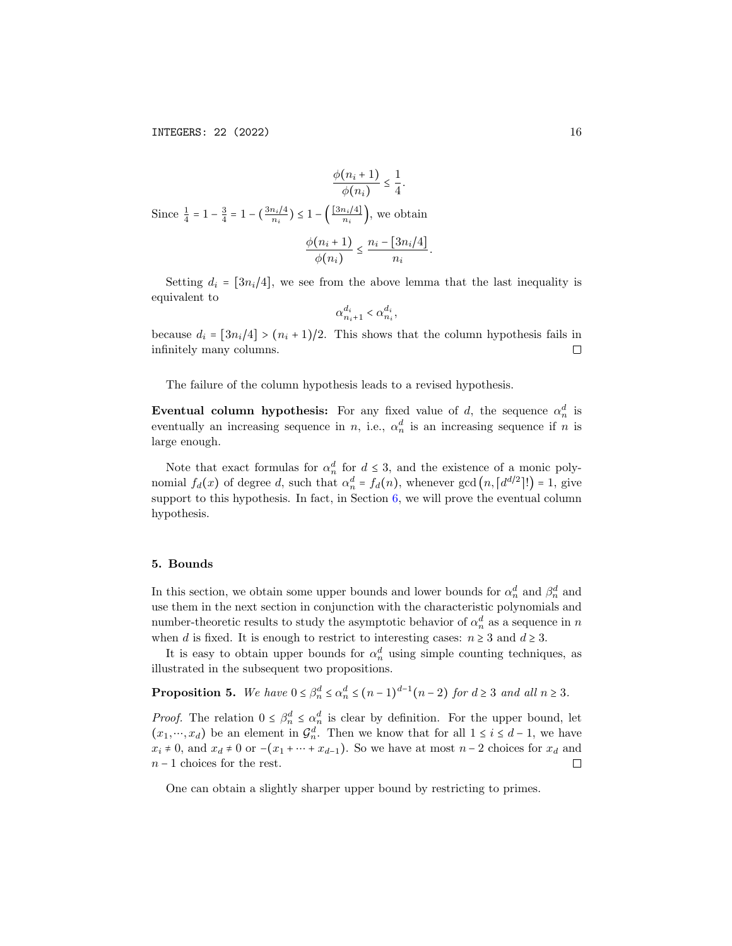$$
\frac{\phi(n_i+1)}{\phi(n_i)} \le \frac{1}{4}.
$$
  
Since  $\frac{1}{4} = 1 - \frac{3}{4} = 1 - (\frac{3n_i/4}{n_i}) \le 1 - (\frac{[3n_i/4]}{n_i})$ , we obtain  

$$
\frac{\phi(n_i+1)}{\phi(n_i)} \le \frac{n_i - [3n_i/4]}{n_i}.
$$

Setting  $d_i = \lfloor 3n_i/4 \rfloor$ , we see from the above lemma that the last inequality is equivalent to

$$
\alpha_{n_i+1}^{d_i} < \alpha_{n_i}^{d_i},
$$

because  $d_i = \frac{3n_i}{4} > (n_i + 1)/2$ . This shows that the column hypothesis fails in infinitely many columns.  $\Box$ 

The failure of the column hypothesis leads to a revised hypothesis.

Eventual column hypothesis: For any fixed value of d, the sequence  $\alpha_n^d$  is eventually an increasing sequence in *n*, i.e.,  $\alpha_n^d$  is an increasing sequence if *n* is large enough.

Note that exact formulas for  $\alpha_n^d$  for  $d \leq 3$ , and the existence of a monic polynomial  $f_d(x)$  of degree d, such that  $\alpha_n^d = f_d(n)$ , whenever  $gcd(n, [d^{d/2}]!) = 1$ , give support to this hypothesis. In fact, in Section  $6$ , we will prove the eventual column hypothesis.

### 5. Bounds

In this section, we obtain some upper bounds and lower bounds for  $\alpha_n^d$  and  $\beta_n^d$  and use them in the next section in conjunction with the characteristic polynomials and number-theoretic results to study the asymptotic behavior of  $\alpha_n^d$  as a sequence in  $n$ when d is fixed. It is enough to restrict to interesting cases:  $n \geq 3$  and  $d \geq 3$ .

It is easy to obtain upper bounds for  $\alpha_n^d$  using simple counting techniques, as illustrated in the subsequent two propositions.

**Proposition 5.** We have  $0 \leq \beta_n^d \leq \alpha_n^d \leq (n-1)^{d-1}(n-2)$  for  $d \geq 3$  and all  $n \geq 3$ .

*Proof.* The relation  $0 \leq \beta_n^d \leq \alpha_n^d$  is clear by definition. For the upper bound, let  $(x_1, ..., x_d)$  be an element in  $\mathcal{G}_n^d$ . Then we know that for all  $1 \leq i \leq d-1$ , we have  $x_i \neq 0$ , and  $x_d \neq 0$  or  $-(x_1 + \cdots + x_{d-1})$ . So we have at most  $n-2$  choices for  $x_d$  and  $n-1$  choices for the rest.  $\Box$ 

One can obtain a slightly sharper upper bound by restricting to primes.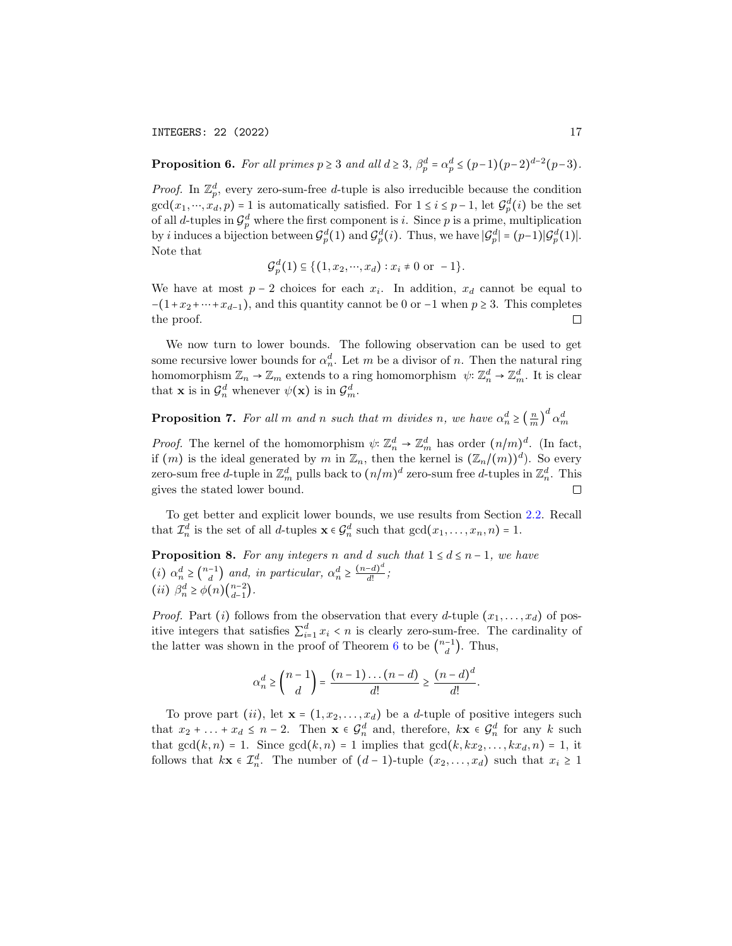INTEGERS: 22 (2022) 17

**Proposition 6.** For all primes  $p \ge 3$  and all  $d \ge 3$ ,  $\beta_p^d = \alpha_p^d \le (p-1)(p-2)^{d-2}(p-3)$ .

*Proof.* In  $\mathbb{Z}_p^d$ , every zero-sum-free d-tuple is also irreducible because the condition  $gcd(x_1, ..., x_d, p) = 1$  is automatically satisfied. For  $1 \le i \le p-1$ , let  $\mathcal{G}_p^d(i)$  be the set of all d-tuples in  $\mathcal{G}_p^d$  where the first component is i. Since p is a prime, multiplication by *i* induces a bijection between  $\mathcal{G}_p^d(1)$  and  $\mathcal{G}_p^d(i)$ . Thus, we have  $|\mathcal{G}_p^d| = (p-1)|\mathcal{G}_p^d(1)|$ . Note that

$$
\mathcal{G}_p^d(1) \subseteq \{(1, x_2, \cdots, x_d) : x_i \neq 0 \text{ or } -1\}.
$$

We have at most  $p-2$  choices for each  $x_i$ . In addition,  $x_d$  cannot be equal to  $-(1+x_2+\cdots+x_{d-1})$ , and this quantity cannot be 0 or -1 when  $p \ge 3$ . This completes the proof.  $\Box$ 

We now turn to lower bounds. The following observation can be used to get some recursive lower bounds for  $\alpha_n^d$ . Let m be a divisor of n. Then the natural ring homomorphism  $\mathbb{Z}_n \to \mathbb{Z}_m$  extends to a ring homomorphism  $\psi: \mathbb{Z}_n^d \to \mathbb{Z}_m^d$ . It is clear that **x** is in  $\mathcal{G}_n^d$  whenever  $\psi(\mathbf{x})$  is in  $\mathcal{G}_m^d$ .

**Proposition 7.** For all m and n such that m divides n, we have  $\alpha_n^d \geq (\frac{n}{m})^d \alpha_m^d$ 

*Proof.* The kernel of the homomorphism  $\psi: \mathbb{Z}_n^d \to \mathbb{Z}_m^d$  has order  $(n/m)^d$ . (In fact, if  $(m)$  is the ideal generated by m in  $\mathbb{Z}_n$ , then the kernel is  $(\mathbb{Z}_n/(m))^d$ ). So every zero-sum free *d*-tuple in  $\mathbb{Z}_m^d$  pulls back to  $(n/m)^d$  zero-sum free *d*-tuples in  $\mathbb{Z}_n^d$ . This gives the stated lower bound.

To get better and explicit lower bounds, we use results from Section [2.2.](#page-8-2) Recall that  $\mathcal{I}_n^d$  is the set of all d-tuples  $\mathbf{x} \in \mathcal{G}_n^d$  such that  $gcd(x_1, \ldots, x_n, n) = 1$ .

<span id="page-16-0"></span>**Proposition 8.** For any integers n and d such that  $1 \le d \le n-1$ , we have (*i*)  $\alpha_n^d \geq \binom{n-1}{d}$  $\binom{-1}{d}$  and, in particular,  $\alpha_n^d \geq \frac{(n-d)^d}{d!}$  $\frac{a}{d!}$ ; (*ii*)  $\beta_n^d \ge \phi(n) \binom{n-2}{d-1}$  $_{d-1}^{n-2}$ ).

*Proof.* Part (i) follows from the observation that every d-tuple  $(x_1, \ldots, x_d)$  of positive integers that satisfies  $\sum_{i=1}^{d} x_i < n$  is clearly zero-sum-free. The cardinality of the latter was shown in the proof of Theorem [6](#page-8-0) to be  $\binom{n-1}{d}$  $\binom{-1}{d}$ . Thus,

$$
\alpha_n^d \ge \binom{n-1}{d} = \frac{(n-1)\dots(n-d)}{d!} \ge \frac{(n-d)^d}{d!}.
$$

To prove part (ii), let  $\mathbf{x} = (1, x_2, \dots, x_d)$  be a *d*-tuple of positive integers such that  $x_2 + \ldots + x_d \leq n-2$ . Then  $\mathbf{x} \in \mathcal{G}_n^d$  and, therefore,  $k\mathbf{x} \in \mathcal{G}_n^d$  for any k such that  $gcd(k, n) = 1$ . Since  $gcd(k, n) = 1$  implies that  $gcd(k, kx_2, \ldots, kx_d, n) = 1$ , it follows that  $k\mathbf{x} \in \mathcal{I}_n^d$ . The number of  $(d-1)$ -tuple  $(x_2, \ldots, x_d)$  such that  $x_i \geq 1$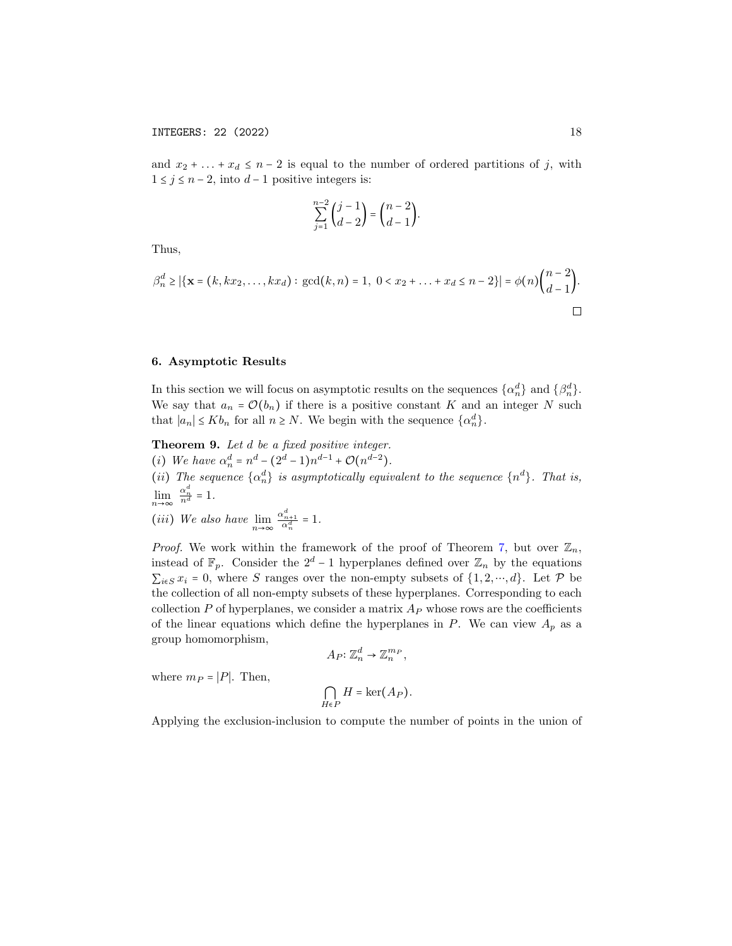and  $x_2 + \ldots + x_d \leq n-2$  is equal to the number of ordered partitions of j, with  $1 \leq j \leq n-2$ , into  $d-1$  positive integers is:

$$
\sum_{j=1}^{n-2} {j-1 \choose d-2} = {n-2 \choose d-1}.
$$

Thus,

$$
\beta_n^d \ge |\{\mathbf{x} = (k, kx_2, \dots, kx_d): \gcd(k, n) = 1, 0 < x_2 + \dots + x_d \le n - 2\}| = \phi(n) \binom{n-2}{d-1}.
$$

### <span id="page-17-1"></span>6. Asymptotic Results

In this section we will focus on asymptotic results on the sequences  $\{\alpha_n^d\}$  and  $\{\beta_n^d\}$ . We say that  $a_n = \mathcal{O}(b_n)$  if there is a positive constant K and an integer N such that  $|a_n| \le K b_n$  for all  $n \ge N$ . We begin with the sequence  $\{\alpha_n^d\}$ .

<span id="page-17-0"></span>Theorem 9. Let  $d$  be a fixed positive integer. (i) We have  $\alpha_n^d = n^d - (2^d - 1)n^{d-1} + \mathcal{O}(n^{d-2}).$ (ii) The sequence  $\{\alpha_n^d\}$  is asymptotically equivalent to the sequence  $\{n^d\}$ . That is,  $\lim_{n \to \infty} \frac{\alpha_n^d}{n^d} = 1.$ (*iii*) We also have  $\lim_{n \to \infty} \frac{\alpha_{n+1}^d}{\alpha_n^d} = 1$ .

*Proof.* We work within the framework of the proof of Theorem [7,](#page-10-0) but over  $\mathbb{Z}_n$ , instead of  $\mathbb{F}_p$ . Consider the 2<sup>d</sup> − 1 hyperplanes defined over  $\mathbb{Z}_n$  by the equations  $\sum_{i\in S} x_i = 0$ , where S ranges over the non-empty subsets of  $\{1, 2, \dots, d\}$ . Let P be the collection of all non-empty subsets of these hyperplanes. Corresponding to each collection  $P$  of hyperplanes, we consider a matrix  $A_P$  whose rows are the coefficients of the linear equations which define the hyperplanes in  $P$ . We can view  $A_p$  as a group homomorphism,

$$
A_P: \mathbb{Z}_n^d \to \mathbb{Z}_n^{m_P},
$$

where  $m_P = |P|$ . Then,

$$
\bigcap_{H\in P}H=\ker\bigl(A_P\bigr).
$$

Applying the exclusion-inclusion to compute the number of points in the union of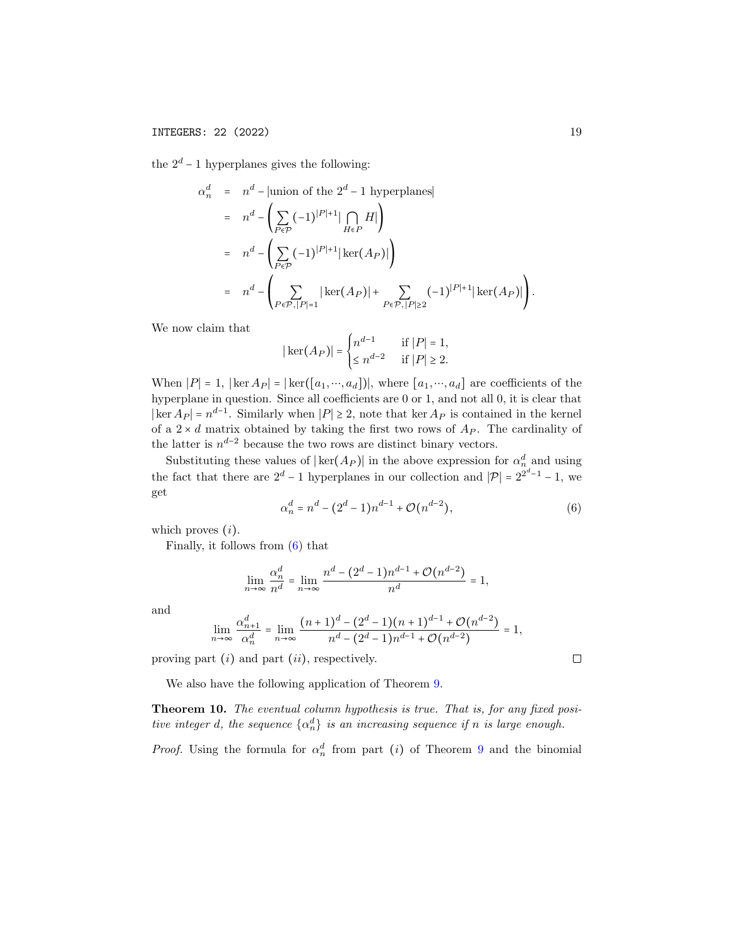the  $2^d - 1$  hyperplanes gives the following:

$$
\alpha_n^d = n^d - |\text{union of the } 2^d - 1 \text{ hyperplanes}|
$$
  
=  $n^d - \left( \sum_{P \in \mathcal{P}} (-1)^{|P|+1} |\bigcap_{H \in P} H| \right)$   
=  $n^d - \left( \sum_{P \in \mathcal{P}} (-1)^{|P|+1} |\ker(A_P)| \right)$   
=  $n^d - \left( \sum_{P \in \mathcal{P}, |P| = 1} |\ker(A_P)| + \sum_{P \in \mathcal{P}, |P| \ge 2} (-1)^{|P|+1} |\ker(A_P)| \right)$ 

We now claim that

$$
|\ker(A_P)| = \begin{cases} n^{d-1} & \text{if } |P| = 1, \\ \leq n^{d-2} & \text{if } |P| \geq 2. \end{cases}
$$

When  $|P|=1$ ,  $|\ker A_P| = |\ker([a_1, ..., a_d])|$ , where  $[a_1, ..., a_d]$  are coefficients of the hyperplane in question. Since all coefficients are 0 or 1, and not all 0, it is clear that  $|\ker A_P| = n^{d-1}$ . Similarly when  $|P| \geq 2$ , note that ker  $A_P$  is contained in the kernel of a  $2 \times d$  matrix obtained by taking the first two rows of  $A_P$ . The cardinality of the latter is  $n^{d-2}$  because the two rows are distinct binary vectors.

Substituting these values of  $|\ker(A_P)|$  in the above expression for  $\alpha_n^d$  and using the fact that there are  $2^d - 1$  hyperplanes in our collection and  $|\mathcal{P}| = 2^{2^d - 1} - 1$ , we get

<span id="page-18-1"></span>
$$
\alpha_n^d = n^d - (2^d - 1)n^{d-1} + \mathcal{O}(n^{d-2}),\tag{6}
$$

which proves  $(i)$ .

Finally, it follows from [\(6\)](#page-18-1) that

$$
\lim_{n \to \infty} \frac{\alpha_n^d}{n^d} = \lim_{n \to \infty} \frac{n^d - (2^d - 1)n^{d-1} + \mathcal{O}(n^{d-2})}{n^d} = 1,
$$

and

$$
\lim_{n \to \infty} \frac{\alpha_{n+1}^d}{\alpha_n^d} = \lim_{n \to \infty} \frac{(n+1)^d - (2^d - 1)(n+1)^{d-1} + \mathcal{O}(n^{d-2})}{n^d - (2^d - 1)n^{d-1} + \mathcal{O}(n^{d-2})} = 1,
$$

proving part  $(i)$  and part  $(ii)$ , respectively.

We also have the following application of Theorem [9.](#page-17-0)

<span id="page-18-0"></span>Theorem 10. The eventual column hypothesis is true. That is, for any fixed positive integer d, the sequence  $\{\alpha_n^d\}$  is an increasing sequence if n is large enough.

*Proof.* Using the formula for  $\alpha_n^d$  from part (i) of Theorem [9](#page-17-0) and the binomial

 $\Box$ 

.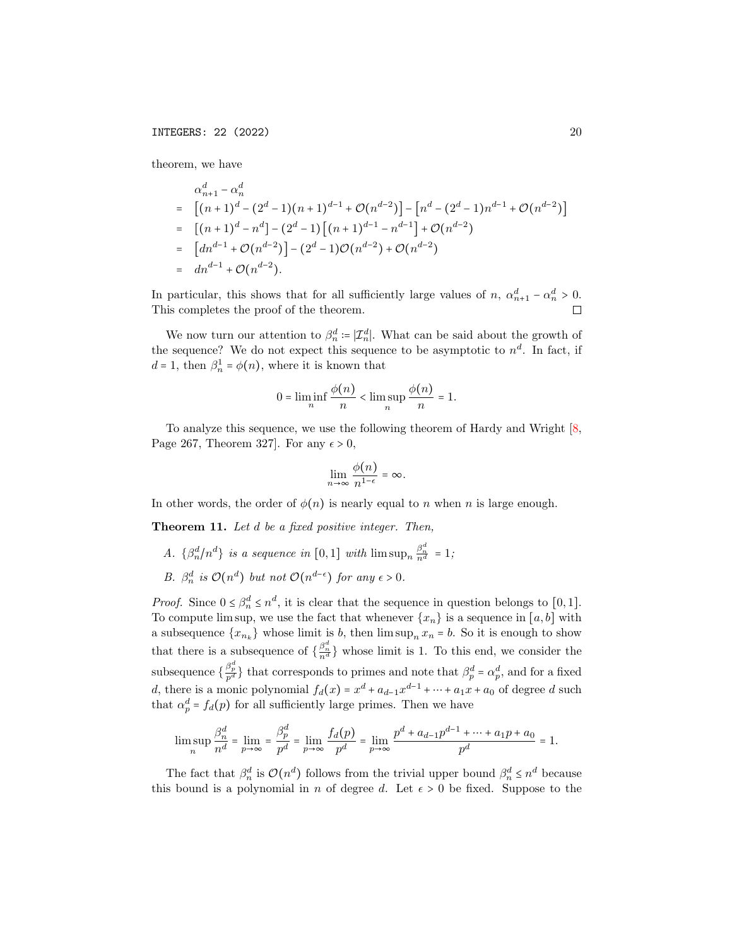theorem, we have

$$
\alpha_{n+1}^d - \alpha_n^d
$$
\n
$$
= [(n+1)^d - (2^d - 1)(n+1)^{d-1} + \mathcal{O}(n^{d-2})] - [n^d - (2^d - 1)n^{d-1} + \mathcal{O}(n^{d-2})]
$$
\n
$$
= [(n+1)^d - n^d] - (2^d - 1) [(n+1)^{d-1} - n^{d-1}] + \mathcal{O}(n^{d-2})
$$
\n
$$
= [dn^{d-1} + \mathcal{O}(n^{d-2})] - (2^d - 1)\mathcal{O}(n^{d-2}) + \mathcal{O}(n^{d-2})
$$
\n
$$
= dn^{d-1} + \mathcal{O}(n^{d-2}).
$$

In particular, this shows that for all sufficiently large values of  $n, \alpha_{n+1}^d - \alpha_n^d > 0$ . This completes the proof of the theorem.  $\Box$ 

We now turn our attention to  $\beta_n^d := |\mathcal{I}_n^d|$ . What can be said about the growth of the sequence? We do not expect this sequence to be asymptotic to  $n^d$ . In fact, if  $d = 1$ , then  $\beta_n^1 = \phi(n)$ , where it is known that

$$
0 = \liminf_{n} \frac{\phi(n)}{n} < \limsup_{n} \frac{\phi(n)}{n} = 1.
$$

To analyze this sequence, we use the following theorem of Hardy and Wright [\[8,](#page-22-12) Page 267, Theorem 327. For any  $\epsilon > 0$ ,

$$
\lim_{n\to\infty}\frac{\phi(n)}{n^{1-\epsilon}}=\infty.
$$

In other words, the order of  $\phi(n)$  is nearly equal to n when n is large enough.

<span id="page-19-0"></span>Theorem 11. Let d be a fixed positive integer. Then,

- A.  $\{\beta_n^d/n^d\}$  is a sequence in  $[0,1]$  with  $\limsup_n \frac{\beta_n^d}{n^d} = 1$ ;
- B.  $\beta_n^d$  is  $\mathcal{O}(n^d)$  but not  $\mathcal{O}(n^{d-\epsilon})$  for any  $\epsilon > 0$ .

*Proof.* Since  $0 \leq \beta_n^d \leq n^d$ , it is clear that the sequence in question belongs to [0, 1]. To compute lim sup, we use the fact that whenever  $\{x_n\}$  is a sequence in  $[a, b]$  with a subsequence  $\{x_{n_k}\}\$  whose limit is b, then  $\limsup_n x_n = b$ . So it is enough to show that there is a subsequence of  $\{\frac{\beta_n^d}{n^d}\}\)$  whose limit is 1. To this end, we consider the subsequence  $\{\frac{\beta_p^d}{p^d}\}\)$  that corresponds to primes and note that  $\beta_p^d = \alpha_p^d$ , and for a fixed d, there is a monic polynomial  $f_d(x) = x^d + a_{d-1}x^{d-1} + \cdots + a_1x + a_0$  of degree d such that  $\alpha_p^d = f_d(p)$  for all sufficiently large primes. Then we have

$$
\limsup_n \frac{\beta_n^d}{n^d} = \lim_{p \to \infty} = \frac{\beta_p^d}{p^d} = \lim_{p \to \infty} \frac{f_d(p)}{p^d} = \lim_{p \to \infty} \frac{p^d + a_{d-1}p^{d-1} + \dots + a_1p + a_0}{p^d} = 1.
$$

The fact that  $\beta_n^d$  is  $\mathcal{O}(n^d)$  follows from the trivial upper bound  $\beta_n^d \leq n^d$  because this bound is a polynomial in n of degree d. Let  $\epsilon > 0$  be fixed. Suppose to the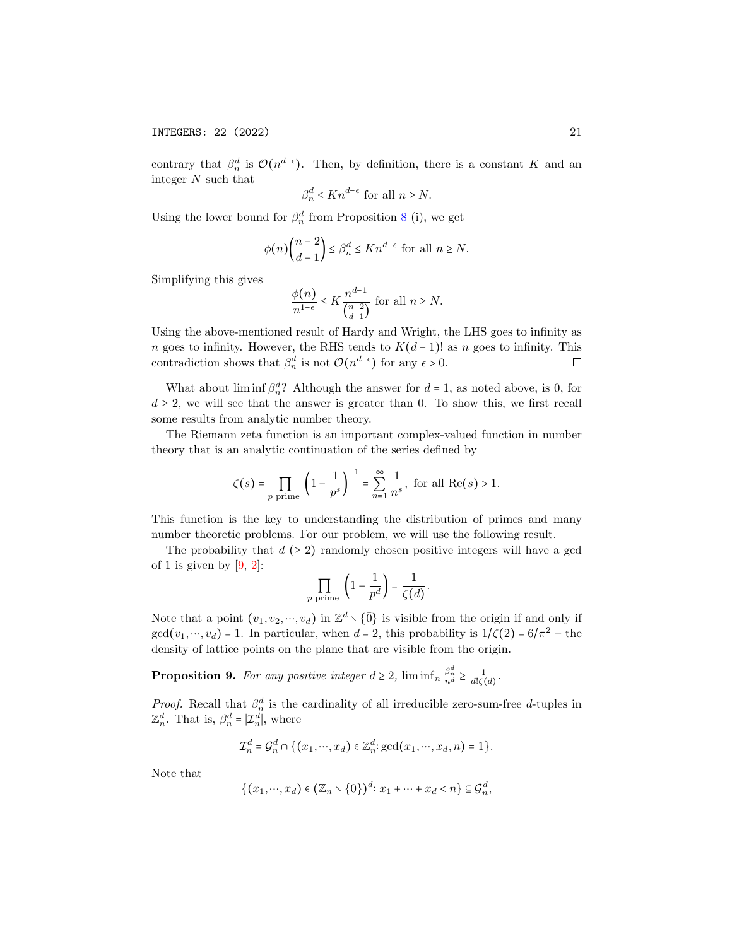contrary that  $\beta_n^d$  is  $\mathcal{O}(n^{d-\epsilon})$ . Then, by definition, there is a constant K and an integer N such that

$$
\beta_n^d \le Kn^{d-\epsilon} \text{ for all } n \ge N.
$$

Using the lower bound for  $\beta_n^d$  from Proposition [8](#page-16-0) (i), we get

$$
\phi(n)\binom{n-2}{d-1} \le \beta_n^d \le Kn^{d-\epsilon} \text{ for all } n \ge N.
$$

Simplifying this gives

$$
\frac{\phi(n)}{n^{1-\epsilon}}\leq K \frac{n^{d-1}}{\binom{n-2}{d-1}}\text{ for all }n\geq N.
$$

Using the above-mentioned result of Hardy and Wright, the LHS goes to infinity as n goes to infinity. However, the RHS tends to  $K(d-1)!$  as n goes to infinity. This contradiction shows that  $\beta_n^d$  is not  $\mathcal{O}(n^{d-\epsilon})$  for any  $\epsilon > 0$ .  $\Box$ 

What about  $\liminf \beta_n^d$ ? Although the answer for  $d = 1$ , as noted above, is 0, for  $d \geq 2$ , we will see that the answer is greater than 0. To show this, we first recall some results from analytic number theory.

The Riemann zeta function is an important complex-valued function in number theory that is an analytic continuation of the series defined by

$$
\zeta(s) = \prod_{p \text{ prime}} \left(1 - \frac{1}{p^s}\right)^{-1} = \sum_{n=1}^{\infty} \frac{1}{n^s}, \text{ for all } \text{Re}(s) > 1.
$$

This function is the key to understanding the distribution of primes and many number theoretic problems. For our problem, we will use the following result.

The probability that  $d \geq 2$ ) randomly chosen positive integers will have a gcd of 1 is given by  $[9, 2]$  $[9, 2]$  $[9, 2]$ :

$$
\prod_{p \text{ prime}} \left(1 - \frac{1}{p^d}\right) = \frac{1}{\zeta(d)}.
$$

Note that a point  $(v_1, v_2, ..., v_d)$  in  $\mathbb{Z}^d \setminus {\overline{0}}$  is visible from the origin if and only if  $gcd(v_1, ..., v_d) = 1$ . In particular, when  $d = 2$ , this probability is  $1/\zeta(2) = 6/\pi^2$  - the density of lattice points on the plane that are visible from the origin.

<span id="page-20-0"></span>**Proposition 9.** For any positive integer  $d \geq 2$ ,  $\liminf_{n \to \infty} \frac{\beta_n^d}{n^d} \geq \frac{1}{d! \zeta(d)}$ .

*Proof.* Recall that  $\beta_n^d$  is the cardinality of all irreducible zero-sum-free d-tuples in  $\mathbb{Z}_n^d$ . That is,  $\beta_n^d = |\mathcal{I}_n^d|$ , where

$$
\mathcal{I}_n^d = \mathcal{G}_n^d \cap \left\{ (x_1, \cdots, x_d) \in \mathbb{Z}_n^d : \gcd(x_1, \cdots, x_d, n) = 1 \right\}.
$$

Note that

$$
\{(x_1,\dots,x_d)\in (\mathbb{Z}_n\setminus\{0\})^d\colon x_1+\dots+x_d
$$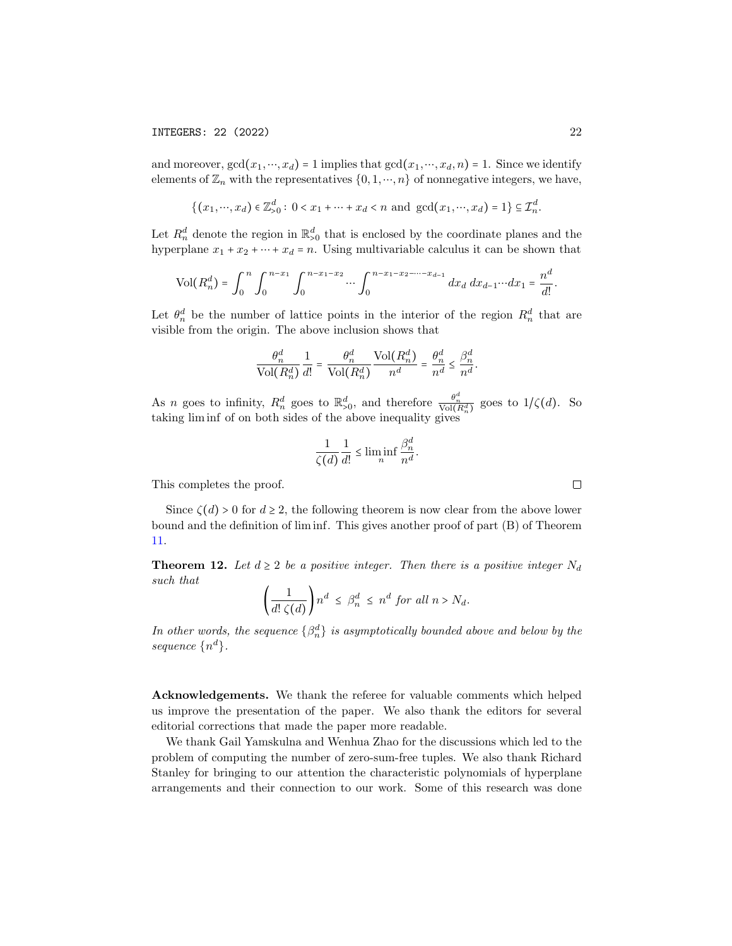and moreover,  $gcd(x_1, ..., x_d) = 1$  implies that  $gcd(x_1, ..., x_d, n) = 1$ . Since we identify elements of  $\mathbb{Z}_n$  with the representatives  $\{0, 1, \dots, n\}$  of nonnegative integers, we have,

$$
\{(x_1, \cdots, x_d) \in \mathbb{Z}_{>0}^d : 0 < x_1 + \cdots + x_d < n \text{ and } \gcd(x_1, \cdots, x_d) = 1\} \subseteq \mathcal{I}_n^d.
$$

Let  $R_n^d$  denote the region in  $\mathbb{R}_{>0}^d$  that is enclosed by the coordinate planes and the hyperplane  $x_1 + x_2 + \cdots + x_d = n$ . Using multivariable calculus it can be shown that

$$
\text{Vol}(R_n^d) = \int_0^n \int_0^{n-x_1} \int_0^{n-x_1-x_2} \cdots \int_0^{n-x_1-x_2-\cdots-x_{d-1}} dx_d \, dx_{d-1} \cdots dx_1 = \frac{n^d}{d!}.
$$

Let  $\theta_n^d$  be the number of lattice points in the interior of the region  $R_n^d$  that are visible from the origin. The above inclusion shows that

$$
\frac{\theta_n^d}{\text{Vol}(R_n^d)} \frac{1}{d!} = \frac{\theta_n^d}{\text{Vol}(R_n^d)} \frac{\text{Vol}(R_n^d)}{n^d} = \frac{\theta_n^d}{n^d} \le \frac{\beta_n^d}{n^d}.
$$

As *n* goes to infinity,  $R_n^d$  goes to  $\mathbb{R}_{>0}^d$ , and therefore  $\frac{\theta_n^d}{\text{Vol}(R_n^d)}$  goes to  $1/\zeta(d)$ . So taking lim inf of on both sides of the above inequality gives

$$
\frac{1}{\zeta(d)}\frac{1}{d!} \le \liminf_{n} \frac{\beta_n^d}{n^d}.
$$

This completes the proof.

Since  $\zeta(d) > 0$  for  $d \geq 2$ , the following theorem is now clear from the above lower bound and the definition of lim inf. This gives another proof of part (B) of Theorem [11.](#page-19-0)

<span id="page-21-0"></span>**Theorem 12.** Let  $d \geq 2$  be a positive integer. Then there is a positive integer  $N_d$ such that

$$
\left(\frac{1}{d!\,\zeta(d)}\right)n^d \leq \beta_n^d \leq n^d \text{ for all } n > N_d.
$$

In other words, the sequence  $\{\beta_n^d\}$  is asymptotically bounded above and below by the sequence  $\{n^d\}.$ 

Acknowledgements. We thank the referee for valuable comments which helped us improve the presentation of the paper. We also thank the editors for several editorial corrections that made the paper more readable.

We thank Gail Yamskulna and Wenhua Zhao for the discussions which led to the problem of computing the number of zero-sum-free tuples. We also thank Richard Stanley for bringing to our attention the characteristic polynomials of hyperplane arrangements and their connection to our work. Some of this research was done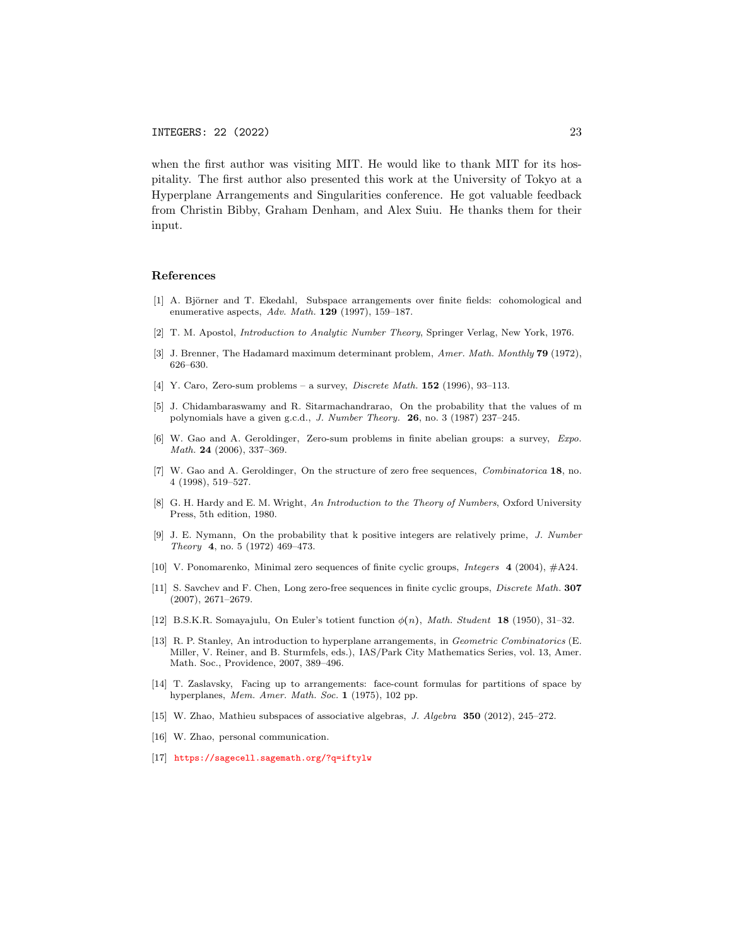when the first author was visiting MIT. He would like to thank MIT for its hospitality. The first author also presented this work at the University of Tokyo at a Hyperplane Arrangements and Singularities conference. He got valuable feedback from Christin Bibby, Graham Denham, and Alex Suiu. He thanks them for their input.

#### References

- <span id="page-22-6"></span>[1] A. Björner and T. Ekedahl, Subspace arrangements over finite fields: cohomological and enumerative aspects, Adv. Math.  $129$  (1997), 159-187.
- <span id="page-22-5"></span>[2] T. M. Apostol, Introduction to Analytic Number Theory, Springer Verlag, New York, 1976.
- <span id="page-22-10"></span>[3] J. Brenner, The Hadamard maximum determinant problem, Amer. Math. Monthly **79** (1972), 626–630.
- <span id="page-22-3"></span>[4] Y. Caro, Zero-sum problems – a survey, *Discrete Math.* **152** (1996), 93-113.
- [5] J. Chidambaraswamy and R. Sitarmachandrarao, On the probability that the values of m polynomials have a given g.c.d., J. Number Theory. 26, no. 3 (1987) 237–245.
- <span id="page-22-4"></span>[6] W. Gao and A. Geroldinger, Zero-sum problems in finite abelian groups: a survey, Expo. Math. 24 (2006), 337-369.
- <span id="page-22-0"></span>[7] W. Gao and A. Geroldinger, On the structure of zero free sequences, *Combinatorica* 18, no. 4 (1998), 519–527.
- <span id="page-22-12"></span>[8] G. H. Hardy and E. M. Wright, An Introduction to the Theory of Numbers, Oxford University Press, 5th edition, 1980.
- <span id="page-22-13"></span>[9] J. E. Nymann, On the probability that k positive integers are relatively prime, J. Number Theory 4, no. 5 (1972) 469–473.
- <span id="page-22-2"></span>[10] V. Ponomarenko, Minimal zero sequences of finite cyclic groups, Integers 4 (2004), #A24.
- <span id="page-22-1"></span>[11] S. Savchev and F. Chen, Long zero-free sequences in finite cyclic groups, Discrete Math. 307 (2007), 2671–2679.
- <span id="page-22-7"></span>[12] B.S.K.R. Somayajulu, On Euler's totient function  $\phi(n)$ , Math. Student 18 (1950), 31–32.
- <span id="page-22-8"></span>[13] R. P. Stanley, An introduction to hyperplane arrangements, in Geometric Combinatorics (E. Miller, V. Reiner, and B. Sturmfels, eds.), IAS/Park City Mathematics Series, vol. 13, Amer. Math. Soc., Providence, 2007, 389–496.
- <span id="page-22-9"></span>[14] T. Zaslavsky, Facing up to arrangements: face-count formulas for partitions of space by hyperplanes, Mem. Amer. Math. Soc. 1 (1975), 102 pp.
- <span id="page-22-14"></span>[15] W. Zhao, Mathieu subspaces of associative algebras, J. Algebra 350 (2012), 245–272.
- <span id="page-22-15"></span>[16] W. Zhao, personal communication.
- <span id="page-22-11"></span>[17] <https://sagecell.sagemath.org/?q=iftylw>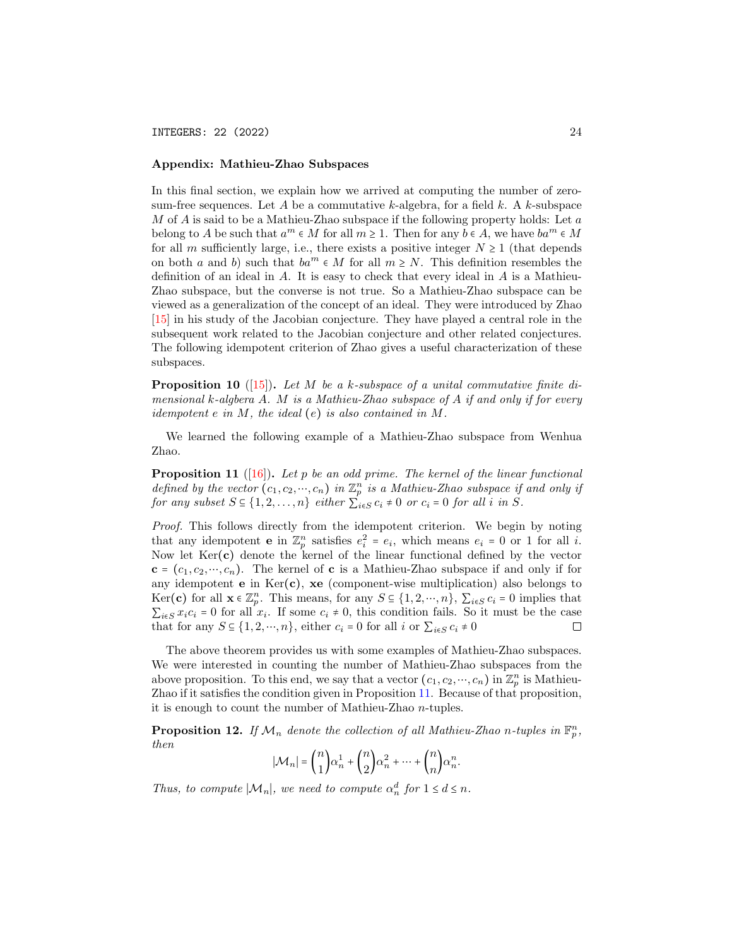INTEGERS: 22 (2022) 24

### Appendix: Mathieu-Zhao Subspaces

In this final section, we explain how we arrived at computing the number of zerosum-free sequences. Let A be a commutative k-algebra, for a field k. A k-subspace M of A is said to be a Mathieu-Zhao subspace if the following property holds: Let  $a$ belong to A be such that  $a^m \in M$  for all  $m \ge 1$ . Then for any  $b \in A$ , we have  $ba^m \in M$ for all m sufficiently large, i.e., there exists a positive integer  $N \geq 1$  (that depends on both a and b) such that  $ba^m \\in M$  for all  $m \\geq N$ . This definition resembles the definition of an ideal in  $A$ . It is easy to check that every ideal in  $A$  is a Mathieu-Zhao subspace, but the converse is not true. So a Mathieu-Zhao subspace can be viewed as a generalization of the concept of an ideal. They were introduced by Zhao [\[15\]](#page-22-14) in his study of the Jacobian conjecture. They have played a central role in the subsequent work related to the Jacobian conjecture and other related conjectures. The following idempotent criterion of Zhao gives a useful characterization of these subspaces.

**Proposition 10** ([\[15\]](#page-22-14)). Let M be a k-subspace of a unital commutative finite dimensional k-algbera A. M is a Mathieu-Zhao subspace of A if and only if for every *idempotent e in*  $M$ , the *ideal* (e) *is also contained in*  $M$ .

We learned the following example of a Mathieu-Zhao subspace from Wenhua Zhao.

<span id="page-23-0"></span>**Proposition 11** ([\[16\]](#page-22-15)). Let p be an odd prime. The kernel of the linear functional defined by the vector  $(c_1, c_2, ..., c_n)$  in  $\mathbb{Z}_p^n$  is a Mathieu-Zhao subspace if and only if for any subset  $S \subseteq \{1, 2, ..., n\}$  either  $\sum_{i \in S} c_i \neq 0$  or  $c_i = 0$  for all i in S.

Proof. This follows directly from the idempotent criterion. We begin by noting that any idempotent **e** in  $\mathbb{Z}_p^n$  satisfies  $e_i^2 = e_i$ , which means  $e_i = 0$  or 1 for all *i*. Now let  $Ker(c)$  denote the kernel of the linear functional defined by the vector  ${\bf c} = (c_1, c_2, ..., c_n)$ . The kernel of c is a Mathieu-Zhao subspace if and only if for any idempotent **e** in  $\text{Ker}(\mathbf{c})$ , **xe** (component-wise multiplication) also belongs to Ker(c) for all  $\mathbf{x} \in \mathbb{Z}_p^n$ . This means, for any  $S \subseteq \{1, 2, \dots, n\}$ ,  $\sum_{i \in S} c_i = 0$  implies that  $\sum_{i \in S} x_i c_i = 0$  for all  $x_i$ . If some  $c_i \neq 0$ , this condition fails. So it must be the case that for any  $S \subseteq \{1, 2, \dots, n\}$ , either  $c_i = 0$  for all i or  $\sum_{i \in S} c_i \neq 0$  $\Box$ 

The above theorem provides us with some examples of Mathieu-Zhao subspaces. We were interested in counting the number of Mathieu-Zhao subspaces from the above proposition. To this end, we say that a vector  $(c_1, c_2, ..., c_n)$  in  $\mathbb{Z}_p^n$  is Mathieu-Zhao if it satisfies the condition given in Proposition [11.](#page-23-0) Because of that proposition, it is enough to count the number of Mathieu-Zhao n-tuples.

**Proposition 12.** If  $\mathcal{M}_n$  denote the collection of all Mathieu-Zhao n-tuples in  $\mathbb{F}_p^n$ , then

$$
|\mathcal{M}_n| = \binom{n}{1}\alpha_n^1 + \binom{n}{2}\alpha_n^2 + \dots + \binom{n}{n}\alpha_n^n.
$$

Thus, to compute  $|\mathcal{M}_n|$ , we need to compute  $\alpha_n^d$  for  $1 \leq d \leq n$ .